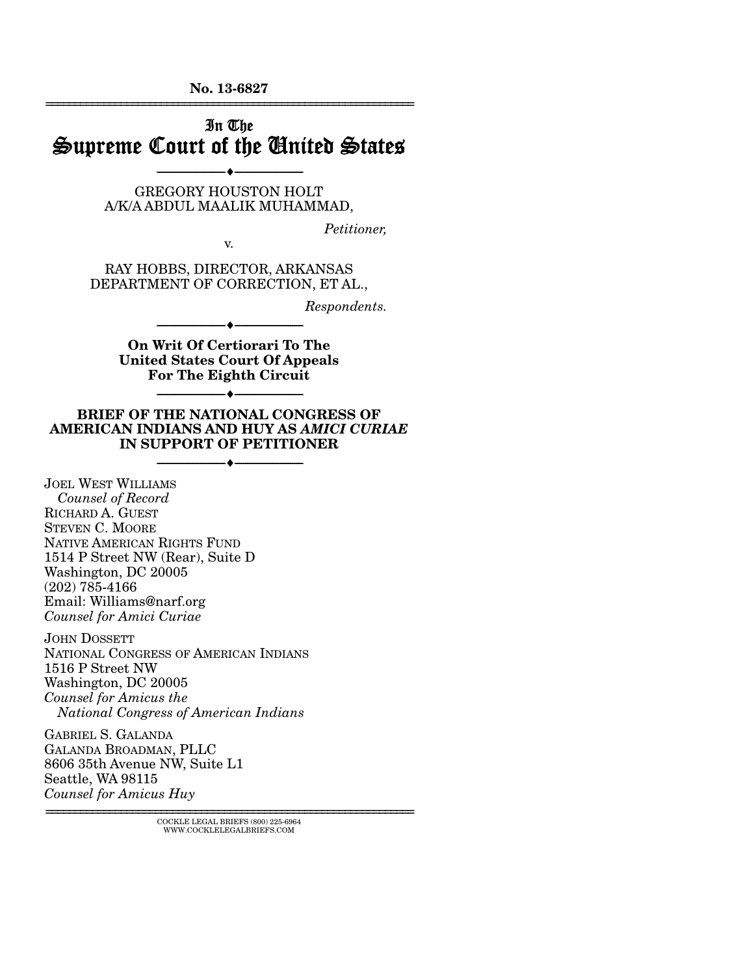**No. 13-6827**  ================================================================

# In The Supreme Court of the United States --------------------------------- ---------------------------------

GREGORY HOUSTON HOLT A/K/A ABDUL MAALIK MUHAMMAD,

*Petitioner,* 

RAY HOBBS, DIRECTOR, ARKANSAS DEPARTMENT OF CORRECTION, ET AL.,

v.

*Respondents.* 

**On Writ Of Certiorari To The United States Court Of Appeals For The Eighth Circuit** 

--------------------------------- ---------------------------------

--------------------------------- ---------------------------------

#### **BRIEF OF THE NATIONAL CONGRESS OF AMERICAN INDIANS AND HUY AS** *AMICI CURIAE*  **IN SUPPORT OF PETITIONER**

--------------------------------- ---------------------------------

JOEL WEST WILLIAMS  *Counsel of Record*  RICHARD A. GUEST STEVEN C. MOORE NATIVE AMERICAN RIGHTS FUND 1514 P Street NW (Rear), Suite D Washington, DC 20005 (202) 785-4166 Email: Williams@narf.org *Counsel for Amici Curiae*

JOHN DOSSETT NATIONAL CONGRESS OF AMERICAN INDIANS 1516 P Street NW Washington, DC 20005 *Counsel for Amicus the National Congress of American Indians*

GABRIEL S. GALANDA GALANDA BROADMAN, PLLC 8606 35th Avenue NW, Suite L1 Seattle, WA 98115 *Counsel for Amicus Huy* 

================================================================ COCKLE LEGAL BRIEFS (800) 225-6964 WWW.COCKLELEGALBRIEFS.COM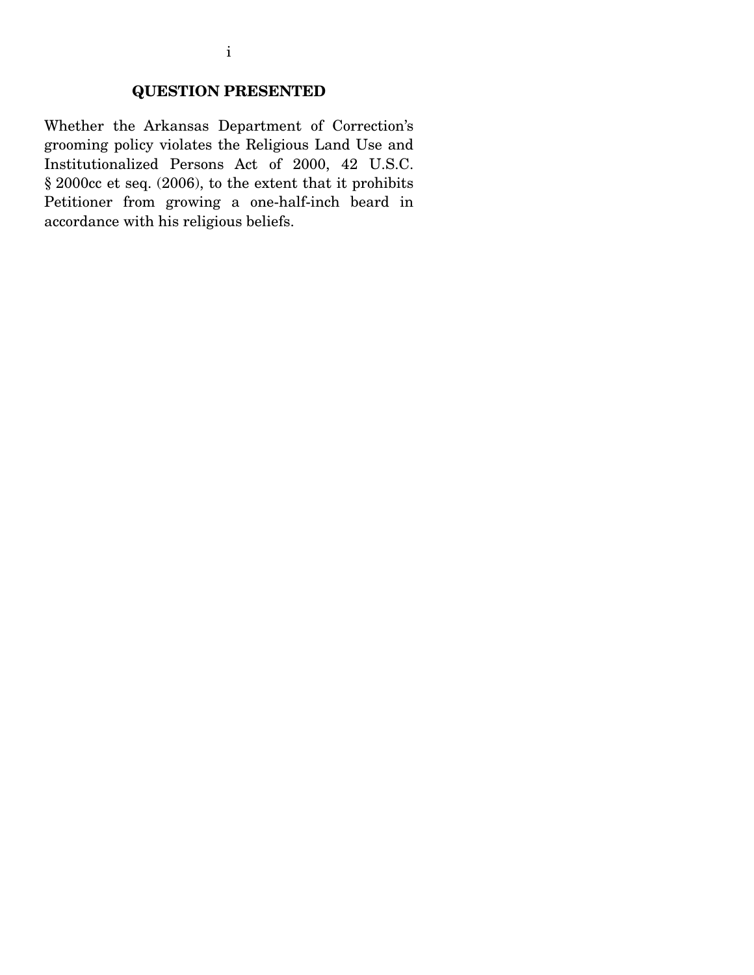### **QUESTION PRESENTED**

Whether the Arkansas Department of Correction's grooming policy violates the Religious Land Use and Institutionalized Persons Act of 2000, 42 U.S.C. § 2000cc et seq. (2006), to the extent that it prohibits Petitioner from growing a one-half-inch beard in accordance with his religious beliefs.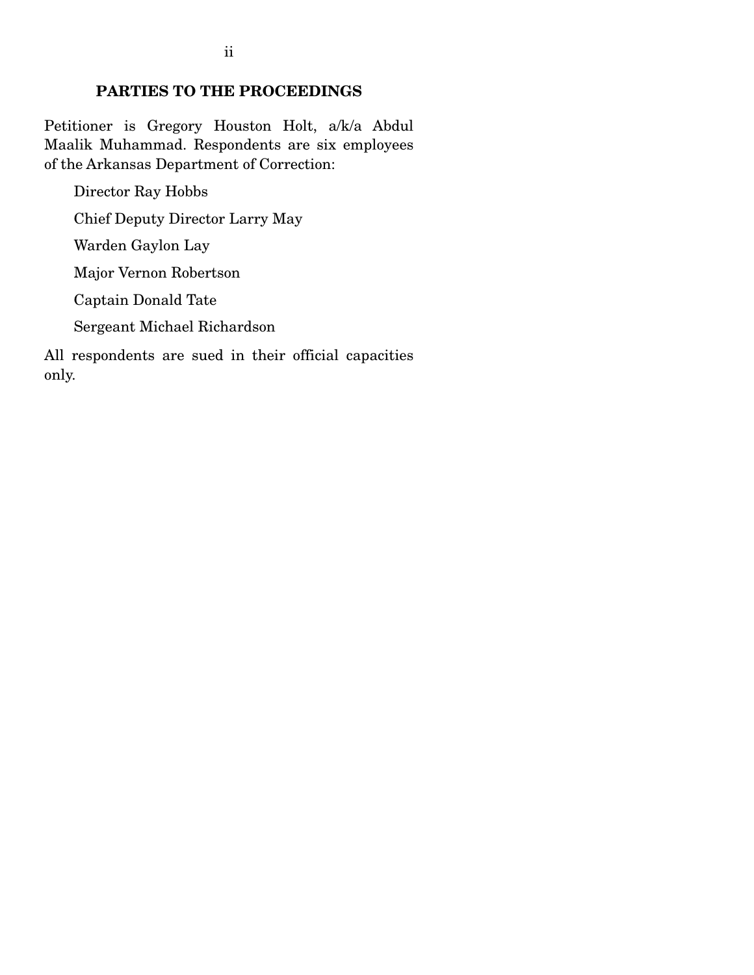### **PARTIES TO THE PROCEEDINGS**

Petitioner is Gregory Houston Holt, a/k/a Abdul Maalik Muhammad. Respondents are six employees of the Arkansas Department of Correction:

Director Ray Hobbs Chief Deputy Director Larry May Warden Gaylon Lay Major Vernon Robertson Captain Donald Tate Sergeant Michael Richardson All respondents are sued in their official capacities only.

ii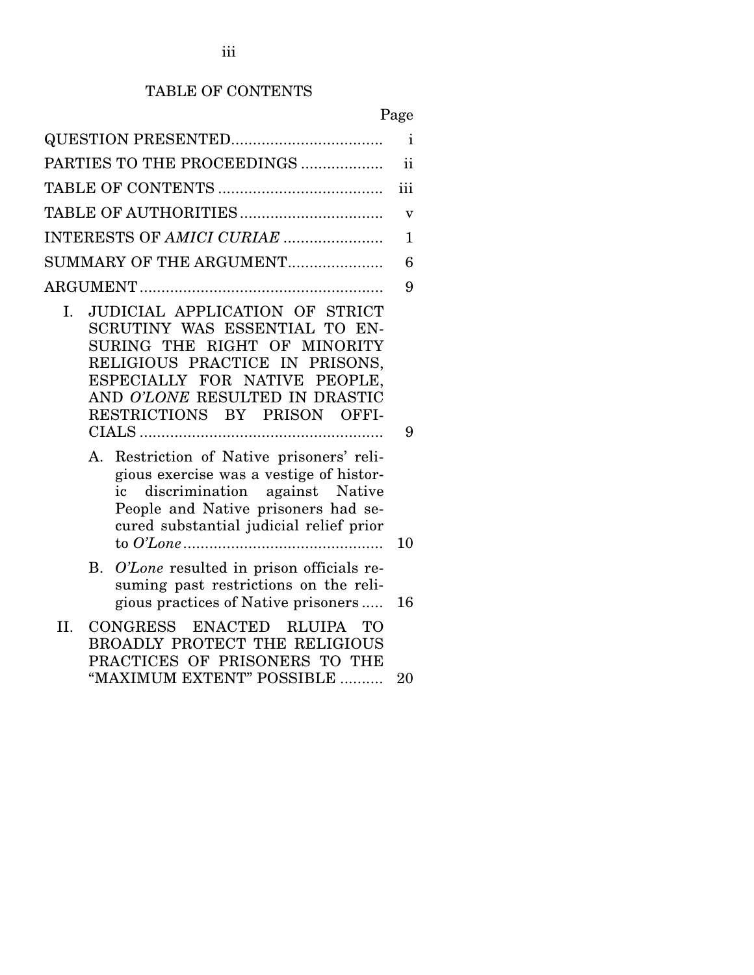# TABLE OF CONTENTS

# Page

|                                                                                                                                                                                                                                            | $\mathbf i$             |  |  |
|--------------------------------------------------------------------------------------------------------------------------------------------------------------------------------------------------------------------------------------------|-------------------------|--|--|
| PARTIES TO THE PROCEEDINGS                                                                                                                                                                                                                 | $\mathbf{ii}$           |  |  |
|                                                                                                                                                                                                                                            | iii                     |  |  |
|                                                                                                                                                                                                                                            | $\overline{\mathbf{V}}$ |  |  |
| INTERESTS OF AMICI CURIAE                                                                                                                                                                                                                  |                         |  |  |
| SUMMARY OF THE ARGUMENT                                                                                                                                                                                                                    | 6                       |  |  |
|                                                                                                                                                                                                                                            | 9                       |  |  |
| JUDICIAL APPLICATION OF STRICT<br>Ι.<br>SCRUTINY WAS ESSENTIAL TO EN-<br>SURING THE RIGHT OF MINORITY<br>RELIGIOUS PRACTICE IN PRISONS,<br>ESPECIALLY FOR NATIVE PEOPLE,<br>AND O'LONE RESULTED IN DRASTIC<br>RESTRICTIONS BY PRISON OFFI- | 9                       |  |  |
| Restriction of Native prisoners' reli-<br>А.<br>gious exercise was a vestige of histor-<br>discrimination against Native<br>ic<br>People and Native prisoners had se-<br>cured substantial judicial relief prior                           | 10                      |  |  |
| O'Lone resulted in prison officials re-<br>B.<br>suming past restrictions on the reli-<br>gious practices of Native prisoners                                                                                                              | 16                      |  |  |
| CONGRESS ENACTED RLUIPA TO<br>II.<br><b>BROADLY PROTECT THE RELIGIOUS</b><br>PRACTICES OF PRISONERS TO THE<br>"MAXIMUM EXTENT" POSSIBLE                                                                                                    | 20                      |  |  |
|                                                                                                                                                                                                                                            |                         |  |  |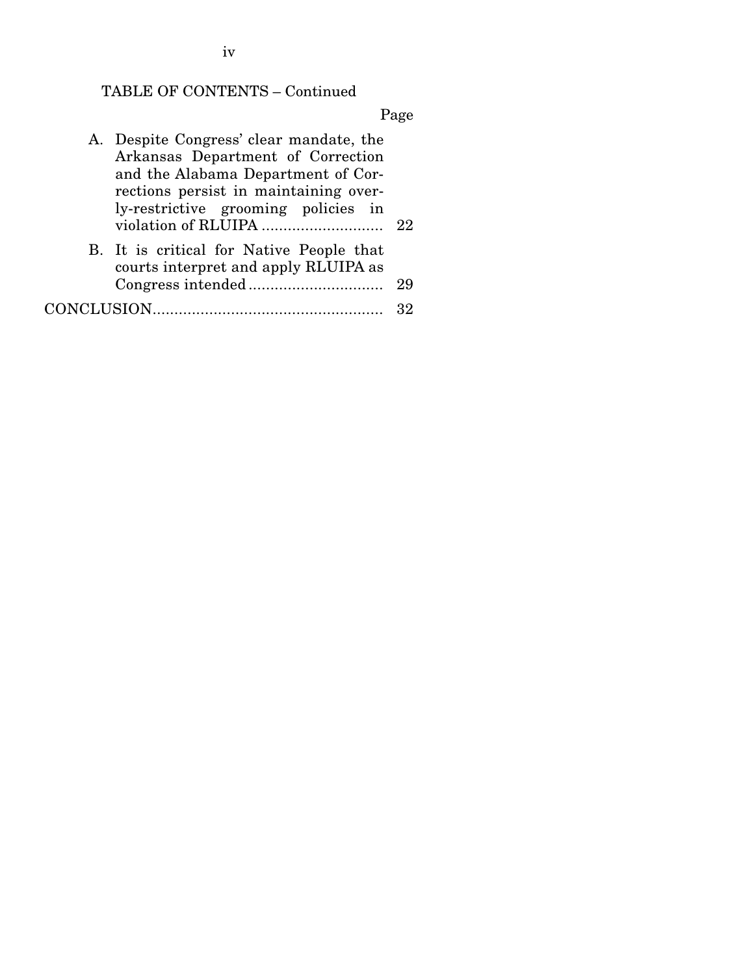iv

# TABLE OF CONTENTS – Continued

Page

| A. Despite Congress' clear mandate, the<br>Arkansas Department of Correction<br>and the Alabama Department of Cor-<br>rections persist in maintaining over-<br>ly-restrictive grooming policies in |    |
|----------------------------------------------------------------------------------------------------------------------------------------------------------------------------------------------------|----|
| B. It is critical for Native People that<br>courts interpret and apply RLUIPA as                                                                                                                   | 29 |
| CONCLUSION                                                                                                                                                                                         |    |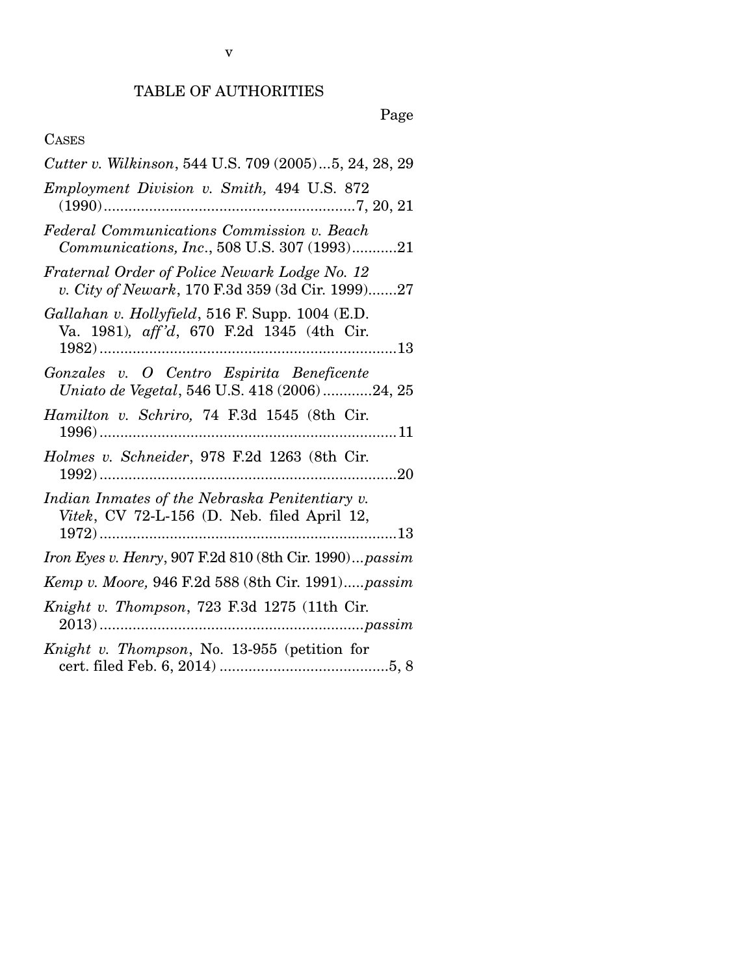## TABLE OF AUTHORITIES

# Page

## CASES

| Cutter v. Wilkinson, 544 U.S. 709 (2005)5, 24, 28, 29                                                                                                                       |
|-----------------------------------------------------------------------------------------------------------------------------------------------------------------------------|
| Employment Division v. Smith, 494 U.S. 872                                                                                                                                  |
| Federal Communications Commission v. Beach<br>Communications, Inc., 508 U.S. 307 (1993)21                                                                                   |
| Fraternal Order of Police Newark Lodge No. 12<br>v. City of Newark, 170 F.3d 359 (3d Cir. 1999)27                                                                           |
| Gallahan v. Hollyfield, 516 F. Supp. 1004 (E.D.<br>Va. 1981), aff'd, 670 F.2d 1345 (4th Cir.                                                                                |
| Gonzales v. O Centro Espirita Beneficente<br>Uniato de Vegetal, 546 U.S. 418 (2006)24, 25                                                                                   |
| Hamilton v. Schriro, 74 F.3d 1545 (8th Cir.                                                                                                                                 |
| Holmes v. Schneider, 978 F.2d 1263 (8th Cir.                                                                                                                                |
| Indian Inmates of the Nebraska Penitentiary v.<br>$\label{thm:2} \begin{minipage}{0.9\linewidth} \textit{Vitek, CV 72-L-156 (D. Neb. filed April 12, 1972)} \end{minipage}$ |
| Iron Eyes v. Henry, 907 F.2d 810 (8th Cir. 1990) passim                                                                                                                     |
| Kemp v. Moore, 946 F.2d 588 (8th Cir. 1991)passim                                                                                                                           |
| Knight v. Thompson, 723 F.3d 1275 (11th Cir.                                                                                                                                |
| Knight v. Thompson, No. 13-955 (petition for                                                                                                                                |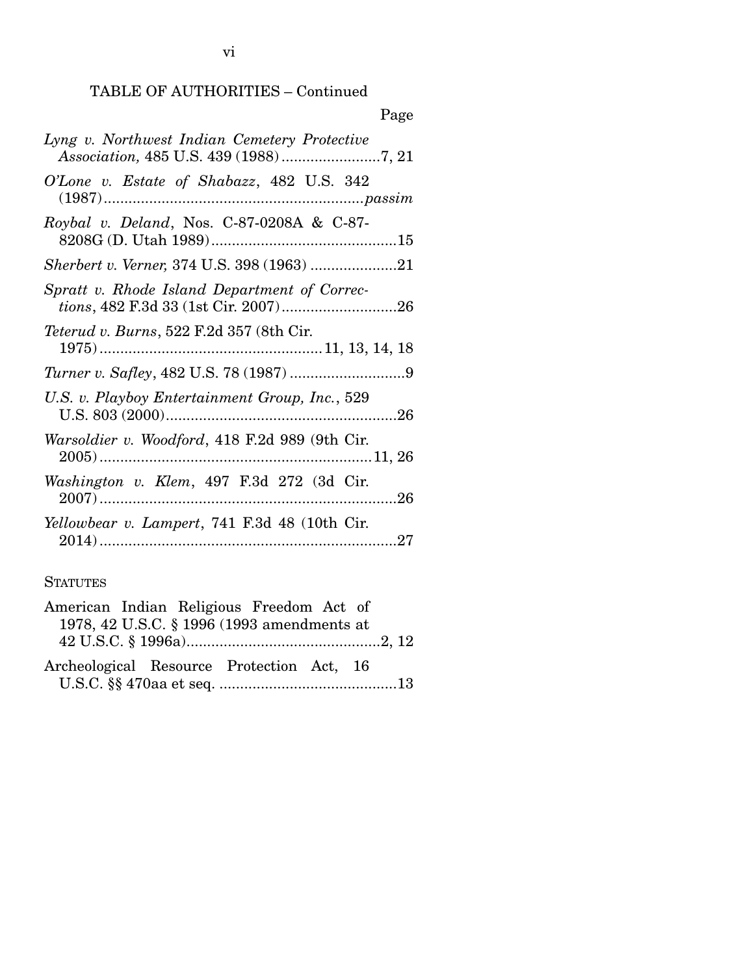| Page                                             |
|--------------------------------------------------|
| Lyng v. Northwest Indian Cemetery Protective     |
| O'Lone v. Estate of Shabazz, 482 U.S. 342        |
| Roybal v. Deland, Nos. C-87-0208A & C-87-        |
|                                                  |
| Spratt v. Rhode Island Department of Correc-     |
| <i>Teterud v. Burns</i> , 522 F.2d 357 (8th Cir. |
|                                                  |
| U.S. v. Playboy Entertainment Group, Inc., 529   |
| Warsoldier v. Woodford, 418 F.2d 989 (9th Cir.   |
| Washington v. Klem, 497 F.3d 272 (3d Cir.        |
| Yellowbear v. Lampert, 741 F.3d 48 (10th Cir.    |

### **STATUTES**

| American Indian Religious Freedom Act of  |                                            |  |  |
|-------------------------------------------|--------------------------------------------|--|--|
|                                           | 1978, 42 U.S.C. § 1996 (1993 amendments at |  |  |
|                                           |                                            |  |  |
| Archeological Resource Protection Act, 16 |                                            |  |  |
|                                           |                                            |  |  |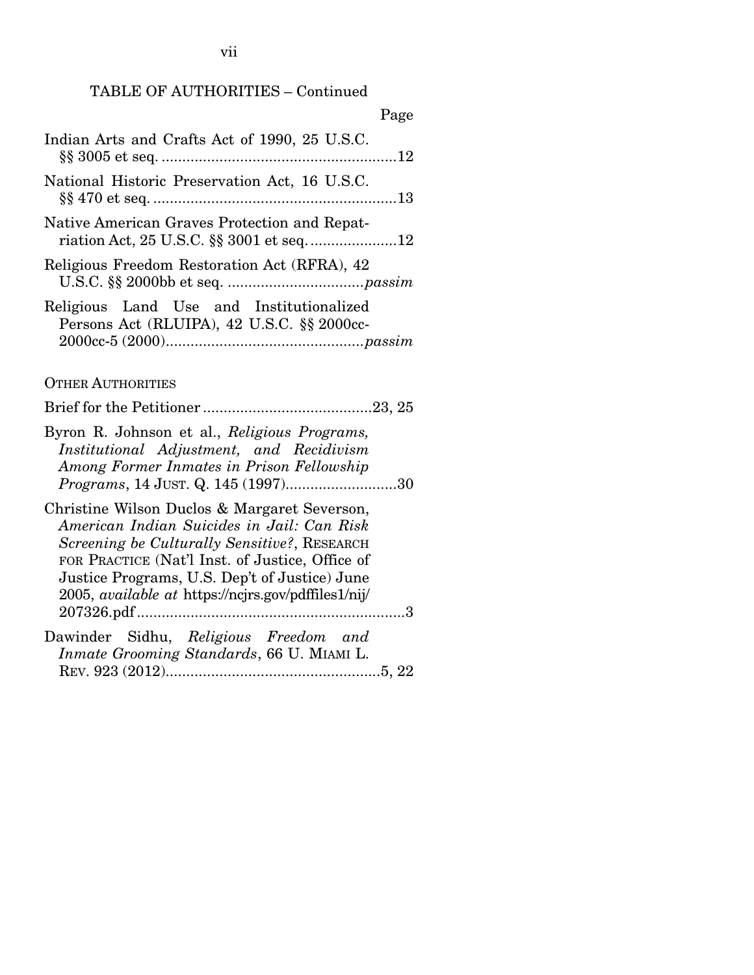| Page                                                                                                                                                                                                                                                                                                         |
|--------------------------------------------------------------------------------------------------------------------------------------------------------------------------------------------------------------------------------------------------------------------------------------------------------------|
| Indian Arts and Crafts Act of 1990, 25 U.S.C.                                                                                                                                                                                                                                                                |
| National Historic Preservation Act, 16 U.S.C.                                                                                                                                                                                                                                                                |
| Native American Graves Protection and Repat-                                                                                                                                                                                                                                                                 |
| Religious Freedom Restoration Act (RFRA), 42                                                                                                                                                                                                                                                                 |
| Religious Land Use and Institutionalized<br>Persons Act (RLUIPA), 42 U.S.C. §§ 2000cc-                                                                                                                                                                                                                       |
| <b>OTHER AUTHORITIES</b>                                                                                                                                                                                                                                                                                     |
|                                                                                                                                                                                                                                                                                                              |
| Byron R. Johnson et al., Religious Programs,<br>Institutional Adjustment, and Recidivism<br>Among Former Inmates in Prison Fellowship                                                                                                                                                                        |
| Christine Wilson Duclos & Margaret Severson,<br>American Indian Suicides in Jail: Can Risk<br>Screening be Culturally Sensitive?, RESEARCH<br>FOR PRACTICE (Nat'l Inst. of Justice, Office of<br>Justice Programs, U.S. Dep't of Justice) June<br>2005, <i>available at https://ncjrs.gov/pdffiles1/nij/</i> |
| Dawinder Sidhu, Religious Freedom and<br>Inmate Grooming Standards, 66 U. MIAMI L.                                                                                                                                                                                                                           |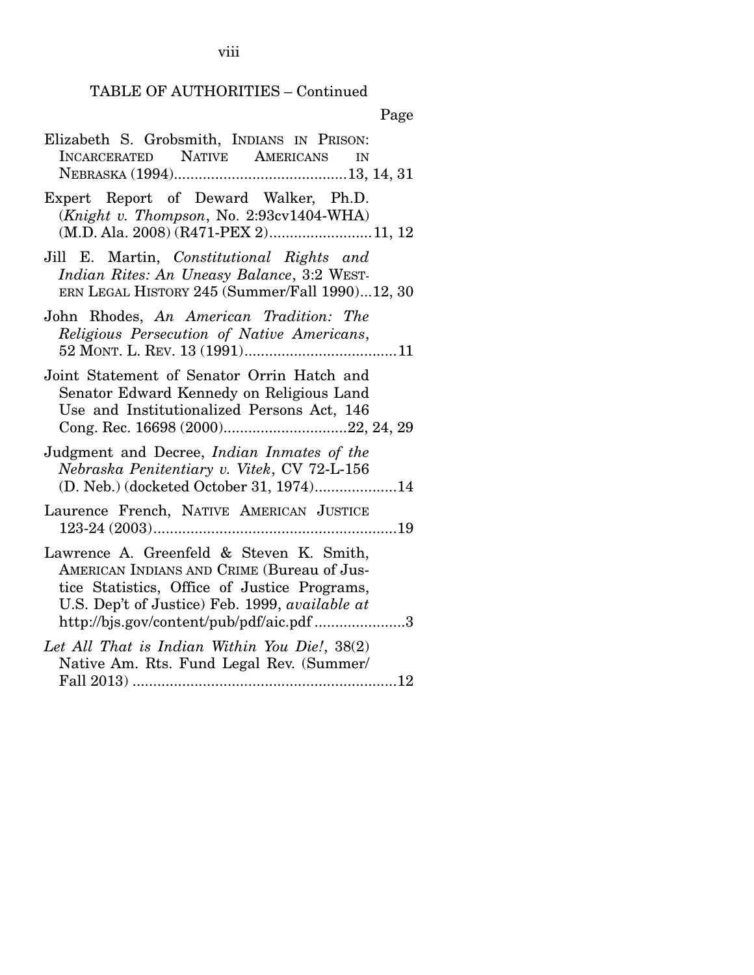# Page

| Elizabeth S. Grobsmith, INDIANS IN PRISON:<br>INCARCERATED NATIVE AMERICANS<br>IN                                                                                                                                                                                                     |
|---------------------------------------------------------------------------------------------------------------------------------------------------------------------------------------------------------------------------------------------------------------------------------------|
| Expert Report of Deward Walker, Ph.D.<br>(Knight v. Thompson, No. 2:93cv1404-WHA)<br>(M.D. Ala. 2008) (R471-PEX 2)11, 12                                                                                                                                                              |
| Jill E. Martin, Constitutional Rights and<br>Indian Rites: An Uneasy Balance, 3:2 WEST-<br>ERN LEGAL HISTORY 245 (Summer/Fall 1990)12, 30                                                                                                                                             |
| John Rhodes, An American Tradition: The<br>Religious Persecution of Native Americans,                                                                                                                                                                                                 |
| Joint Statement of Senator Orrin Hatch and<br>Senator Edward Kennedy on Religious Land<br>Use and Institutionalized Persons Act, 146                                                                                                                                                  |
| Judgment and Decree, Indian Inmates of the<br>Nebraska Penitentiary v. Vitek, CV 72-L-156<br>(D. Neb.) (docketed October 31, 1974)14                                                                                                                                                  |
| Laurence French, NATIVE AMERICAN JUSTICE                                                                                                                                                                                                                                              |
| Lawrence A. Greenfeld & Steven K. Smith,<br>AMERICAN INDIANS AND CRIME (Bureau of Jus-<br>tice Statistics, Office of Justice Programs,<br>U.S. Dep't of Justice) Feb. 1999, available at<br>http://bjs.gov/content/pub/pdf/aic.pdf 3<br>Let All That is Indian Within You Die!, 38(2) |
| Native Am. Rts. Fund Legal Rev. (Summer/                                                                                                                                                                                                                                              |

viii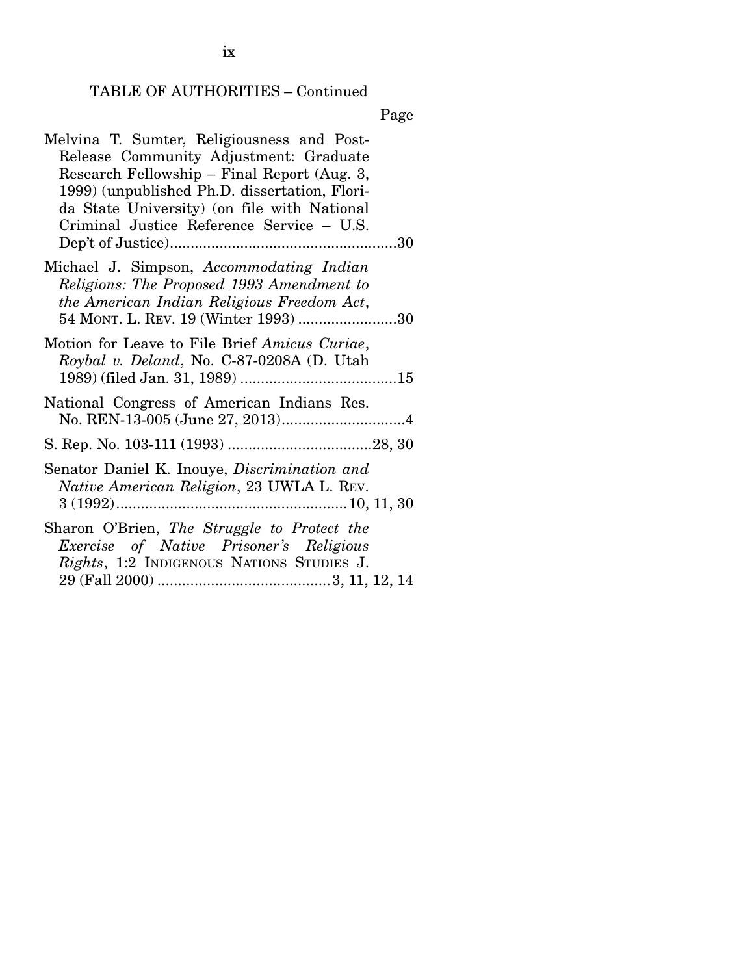Page

| Melvina T. Sumter, Religiousness and Post-          |
|-----------------------------------------------------|
| Release Community Adjustment: Graduate              |
| Research Fellowship - Final Report (Aug. 3,         |
| 1999) (unpublished Ph.D. dissertation, Flori-       |
| da State University) (on file with National         |
| Criminal Justice Reference Service - U.S.           |
|                                                     |
|                                                     |
| Michael J. Simpson, Accommodating Indian            |
| Religions: The Proposed 1993 Amendment to           |
| the American Indian Religious Freedom Act,          |
| 54 MONT. L. REV. 19 (Winter 1993) 30                |
|                                                     |
| Motion for Leave to File Brief Amicus Curiae,       |
| Roybal v. Deland, No. C-87-0208A (D. Utah           |
|                                                     |
|                                                     |
| National Congress of American Indians Res.          |
|                                                     |
|                                                     |
| Senator Daniel K. Inouye, <i>Discrimination and</i> |
|                                                     |
| <i>Native American Religion</i> , 23 UWLA L. REV.   |
|                                                     |
| Sharon O'Brien, The Struggle to Protect the         |
| Exercise of Native Prisoner's Religious             |
| <i>Rights</i> , 1:2 INDIGENOUS NATIONS STUDIES J.   |
|                                                     |
|                                                     |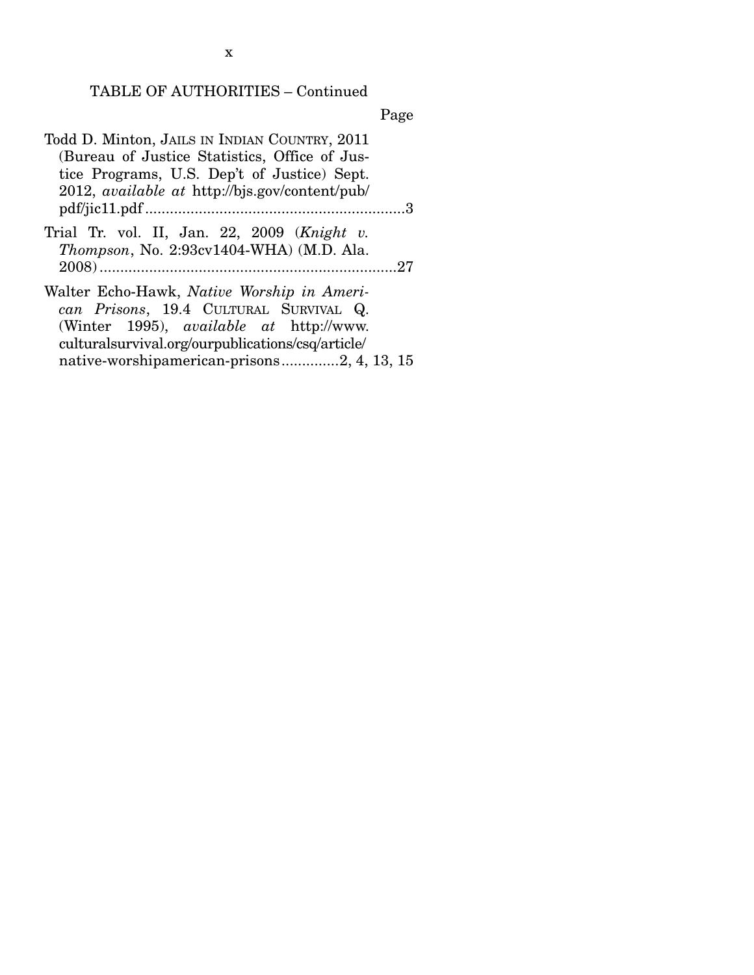Page

- Todd D. Minton, JAILS IN INDIAN COUNTRY, 2011 (Bureau of Justice Statistics, Office of Justice Programs, U.S. Dep't of Justice) Sept. 2012, *available at* http://bjs.gov/content/pub/ pdf/jic11.pdf ............................................................... 3
- Trial Tr. vol. II, Jan. 22, 2009 (*Knight v. Thompson*, No. 2:93cv1404-WHA) (M.D. Ala. 2008) ........................................................................ 27
- Walter Echo-Hawk, *Native Worship in American Prisons*, 19.4 CULTURAL SURVIVAL Q. (Winter 1995), *available at* http://www. culturalsurvival.org/ourpublications/csq/article/ native-worshipamerican-prisons .............. 2, 4, 13, 15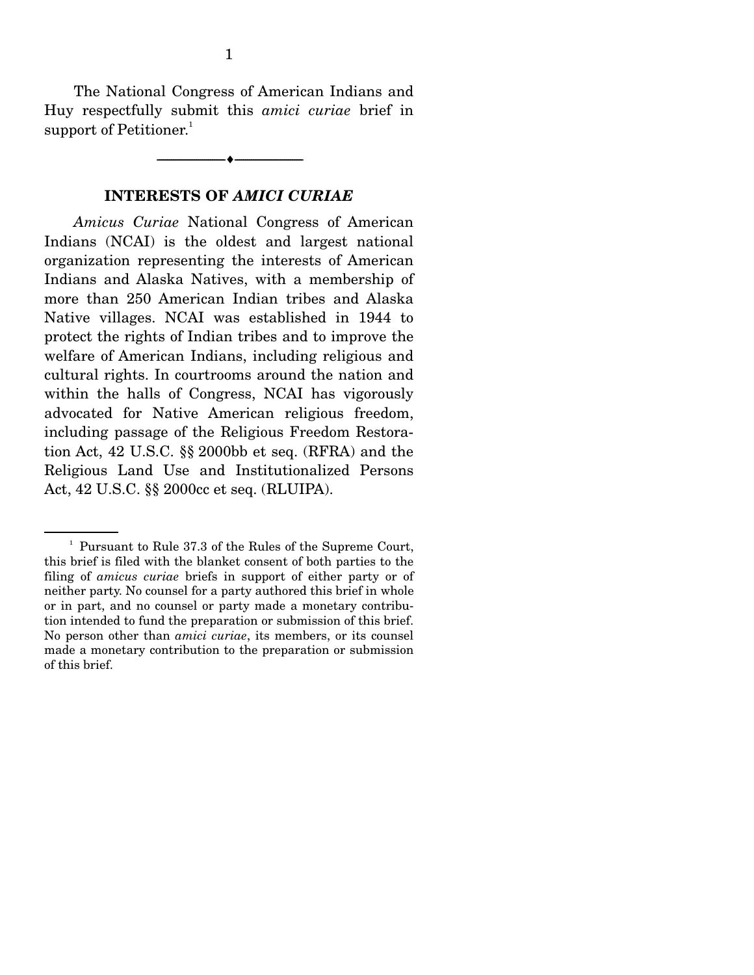The National Congress of American Indians and Huy respectfully submit this *amici curiae* brief in support of Petitioner.<sup>1</sup>

--------------------------------- ---------------------------------

#### **INTERESTS OF** *AMICI CURIAE*

*Amicus Curiae* National Congress of American Indians (NCAI) is the oldest and largest national organization representing the interests of American Indians and Alaska Natives, with a membership of more than 250 American Indian tribes and Alaska Native villages. NCAI was established in 1944 to protect the rights of Indian tribes and to improve the welfare of American Indians, including religious and cultural rights. In courtrooms around the nation and within the halls of Congress, NCAI has vigorously advocated for Native American religious freedom, including passage of the Religious Freedom Restoration Act, 42 U.S.C. §§ 2000bb et seq. (RFRA) and the Religious Land Use and Institutionalized Persons Act, 42 U.S.C. §§ 2000cc et seq. (RLUIPA).

<sup>&</sup>lt;sup>1</sup> Pursuant to Rule 37.3 of the Rules of the Supreme Court, this brief is filed with the blanket consent of both parties to the filing of *amicus curiae* briefs in support of either party or of neither party. No counsel for a party authored this brief in whole or in part, and no counsel or party made a monetary contribution intended to fund the preparation or submission of this brief. No person other than *amici curiae*, its members, or its counsel made a monetary contribution to the preparation or submission of this brief.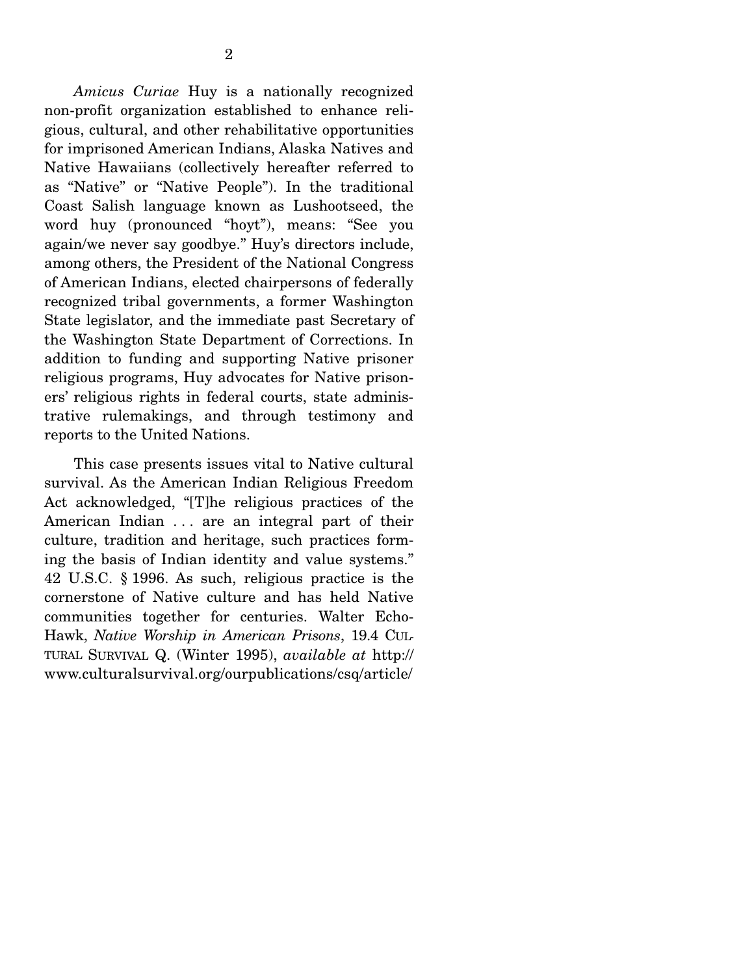*Amicus Curiae* Huy is a nationally recognized non-profit organization established to enhance religious, cultural, and other rehabilitative opportunities for imprisoned American Indians, Alaska Natives and Native Hawaiians (collectively hereafter referred to as "Native" or "Native People"). In the traditional Coast Salish language known as Lushootseed, the word huy (pronounced "hoyt"), means: "See you again/we never say goodbye." Huy's directors include, among others, the President of the National Congress of American Indians, elected chairpersons of federally recognized tribal governments, a former Washington State legislator, and the immediate past Secretary of the Washington State Department of Corrections. In addition to funding and supporting Native prisoner religious programs, Huy advocates for Native prisoners' religious rights in federal courts, state administrative rulemakings, and through testimony and reports to the United Nations.

 This case presents issues vital to Native cultural survival. As the American Indian Religious Freedom Act acknowledged, "[T]he religious practices of the American Indian . . . are an integral part of their culture, tradition and heritage, such practices forming the basis of Indian identity and value systems." 42 U.S.C. § 1996. As such, religious practice is the cornerstone of Native culture and has held Native communities together for centuries. Walter Echo-Hawk, *Native Worship in American Prisons*, 19.4 CUL-TURAL SURVIVAL Q. (Winter 1995), *available at* http:// www.culturalsurvival.org/ourpublications/csq/article/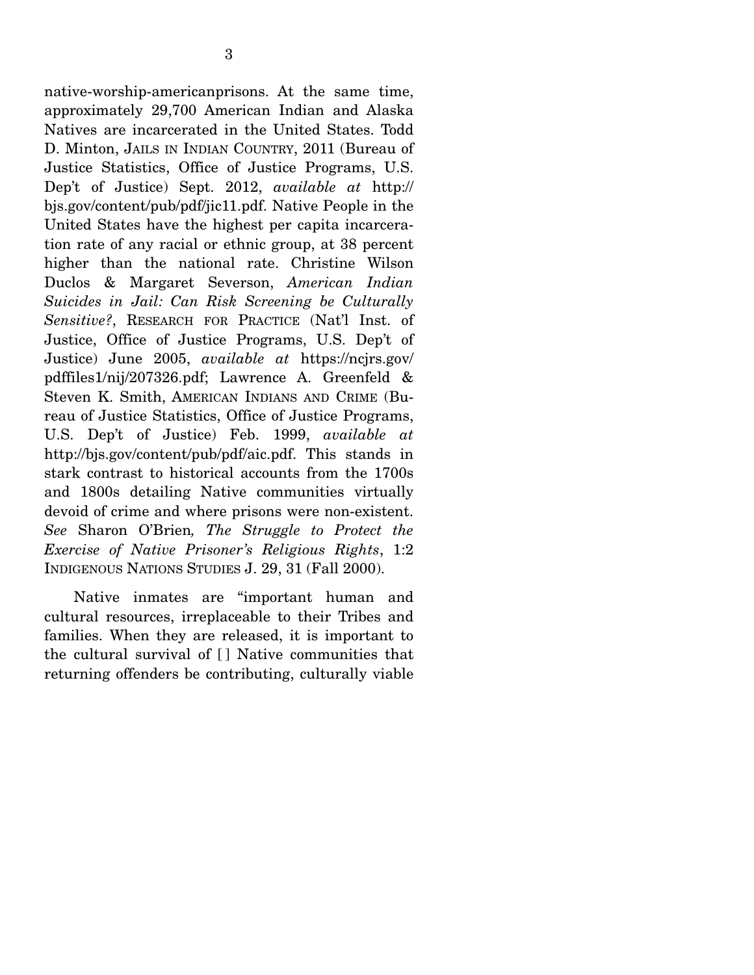native-worship-americanprisons. At the same time, approximately 29,700 American Indian and Alaska Natives are incarcerated in the United States. Todd D. Minton, JAILS IN INDIAN COUNTRY, 2011 (Bureau of Justice Statistics, Office of Justice Programs, U.S. Dep't of Justice) Sept. 2012, *available at* http:// bjs.gov/content/pub/pdf/jic11.pdf. Native People in the United States have the highest per capita incarceration rate of any racial or ethnic group, at 38 percent higher than the national rate. Christine Wilson Duclos & Margaret Severson, *American Indian Suicides in Jail: Can Risk Screening be Culturally Sensitive?*, RESEARCH FOR PRACTICE (Nat'l Inst. of Justice, Office of Justice Programs, U.S. Dep't of Justice) June 2005, *available at* https://ncjrs.gov/ pdffiles1/nij/207326.pdf; Lawrence A. Greenfeld & Steven K. Smith, AMERICAN INDIANS AND CRIME (Bureau of Justice Statistics, Office of Justice Programs, U.S. Dep't of Justice) Feb. 1999, *available at* http://bjs.gov/content/pub/pdf/aic.pdf. This stands in stark contrast to historical accounts from the 1700s and 1800s detailing Native communities virtually devoid of crime and where prisons were non-existent. *See* Sharon O'Brien*, The Struggle to Protect the Exercise of Native Prisoner's Religious Rights*, 1:2 INDIGENOUS NATIONS STUDIES J. 29, 31 (Fall 2000).

 Native inmates are "important human and cultural resources, irreplaceable to their Tribes and families. When they are released, it is important to the cultural survival of [ ] Native communities that returning offenders be contributing, culturally viable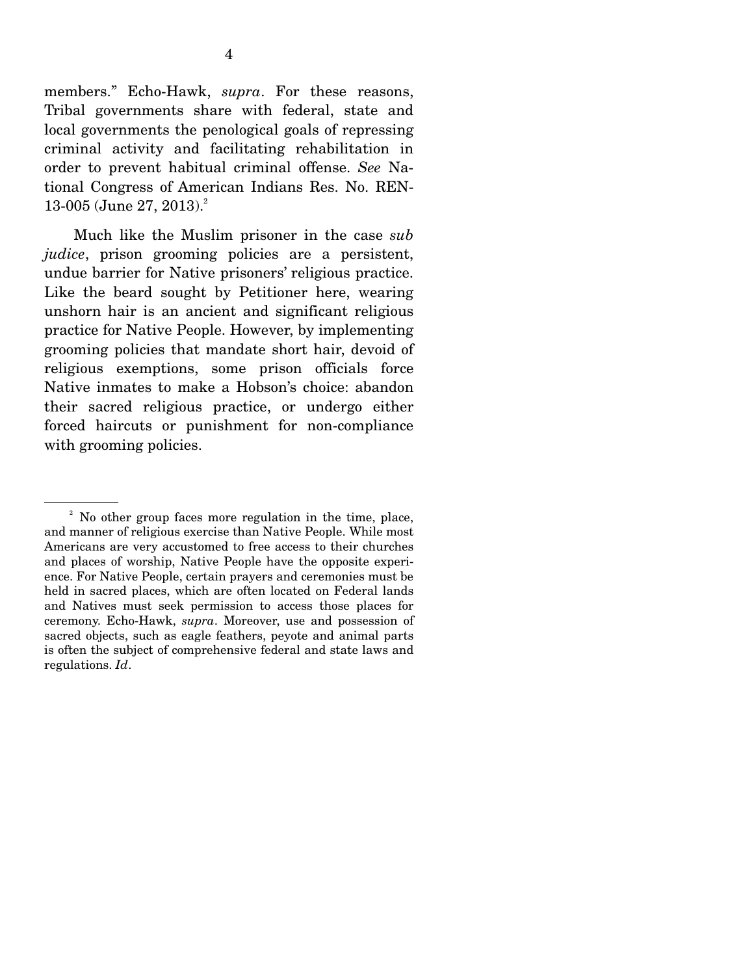members." Echo-Hawk, *supra*. For these reasons, Tribal governments share with federal, state and local governments the penological goals of repressing criminal activity and facilitating rehabilitation in order to prevent habitual criminal offense. *See* National Congress of American Indians Res. No. REN- $13-005$  (June 27, 2013).<sup>2</sup>

 Much like the Muslim prisoner in the case *sub judice*, prison grooming policies are a persistent, undue barrier for Native prisoners' religious practice. Like the beard sought by Petitioner here, wearing unshorn hair is an ancient and significant religious practice for Native People. However, by implementing grooming policies that mandate short hair, devoid of religious exemptions, some prison officials force Native inmates to make a Hobson's choice: abandon their sacred religious practice, or undergo either forced haircuts or punishment for non-compliance with grooming policies.

<sup>&</sup>lt;sup>2</sup> No other group faces more regulation in the time, place, and manner of religious exercise than Native People. While most Americans are very accustomed to free access to their churches and places of worship, Native People have the opposite experience. For Native People, certain prayers and ceremonies must be held in sacred places, which are often located on Federal lands and Natives must seek permission to access those places for ceremony. Echo-Hawk, *supra*. Moreover, use and possession of sacred objects, such as eagle feathers, peyote and animal parts is often the subject of comprehensive federal and state laws and regulations. *Id*.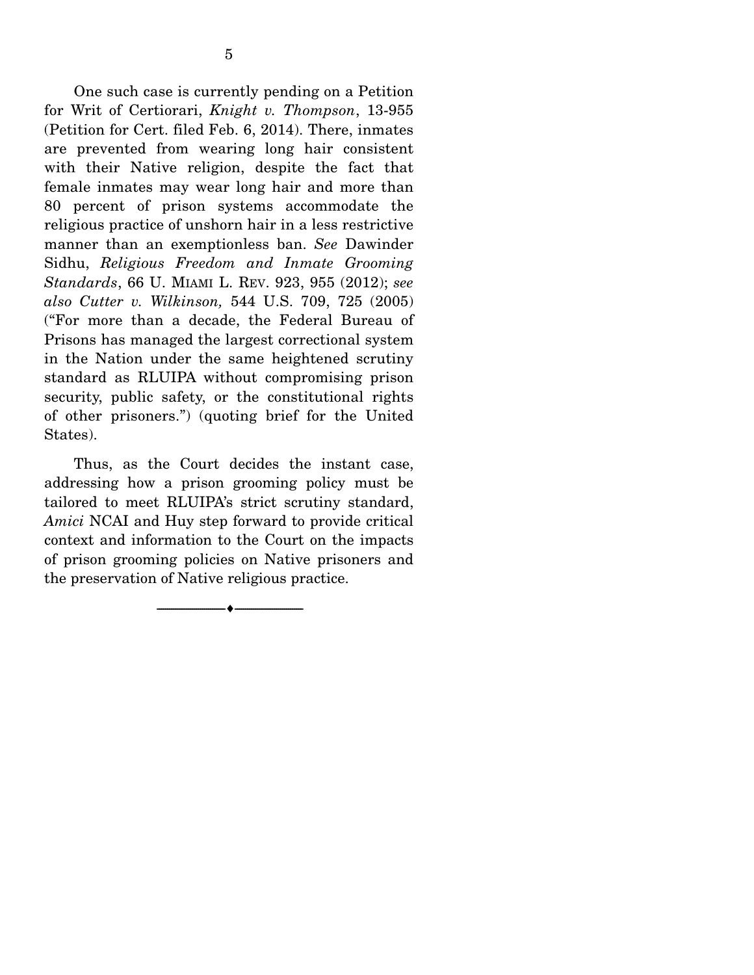One such case is currently pending on a Petition for Writ of Certiorari, *Knight v. Thompson*, 13-955 (Petition for Cert. filed Feb. 6, 2014). There, inmates are prevented from wearing long hair consistent with their Native religion, despite the fact that female inmates may wear long hair and more than 80 percent of prison systems accommodate the religious practice of unshorn hair in a less restrictive manner than an exemptionless ban. *See* Dawinder Sidhu, *Religious Freedom and Inmate Grooming Standards*, 66 U. MIAMI L. REV. 923, 955 (2012); *see also Cutter v. Wilkinson,* 544 U.S. 709, 725 (2005) ("For more than a decade, the Federal Bureau of Prisons has managed the largest correctional system in the Nation under the same heightened scrutiny standard as RLUIPA without compromising prison security, public safety, or the constitutional rights of other prisoners.") (quoting brief for the United States).

 Thus, as the Court decides the instant case, addressing how a prison grooming policy must be tailored to meet RLUIPA's strict scrutiny standard, *Amici* NCAI and Huy step forward to provide critical context and information to the Court on the impacts of prison grooming policies on Native prisoners and the preservation of Native religious practice.

--------------------------------- ---------------------------------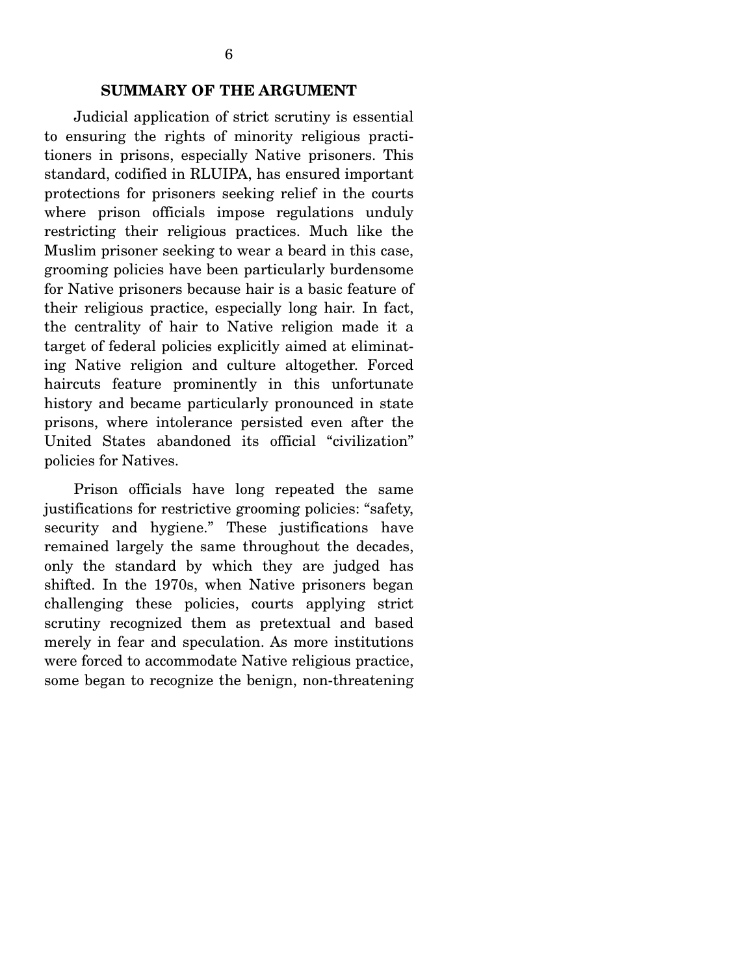#### **SUMMARY OF THE ARGUMENT**

Judicial application of strict scrutiny is essential to ensuring the rights of minority religious practitioners in prisons, especially Native prisoners. This standard, codified in RLUIPA, has ensured important protections for prisoners seeking relief in the courts where prison officials impose regulations unduly restricting their religious practices. Much like the Muslim prisoner seeking to wear a beard in this case, grooming policies have been particularly burdensome for Native prisoners because hair is a basic feature of their religious practice, especially long hair. In fact, the centrality of hair to Native religion made it a target of federal policies explicitly aimed at eliminating Native religion and culture altogether. Forced haircuts feature prominently in this unfortunate history and became particularly pronounced in state prisons, where intolerance persisted even after the United States abandoned its official "civilization" policies for Natives.

 Prison officials have long repeated the same justifications for restrictive grooming policies: "safety, security and hygiene." These justifications have remained largely the same throughout the decades, only the standard by which they are judged has shifted. In the 1970s, when Native prisoners began challenging these policies, courts applying strict scrutiny recognized them as pretextual and based merely in fear and speculation. As more institutions were forced to accommodate Native religious practice, some began to recognize the benign, non-threatening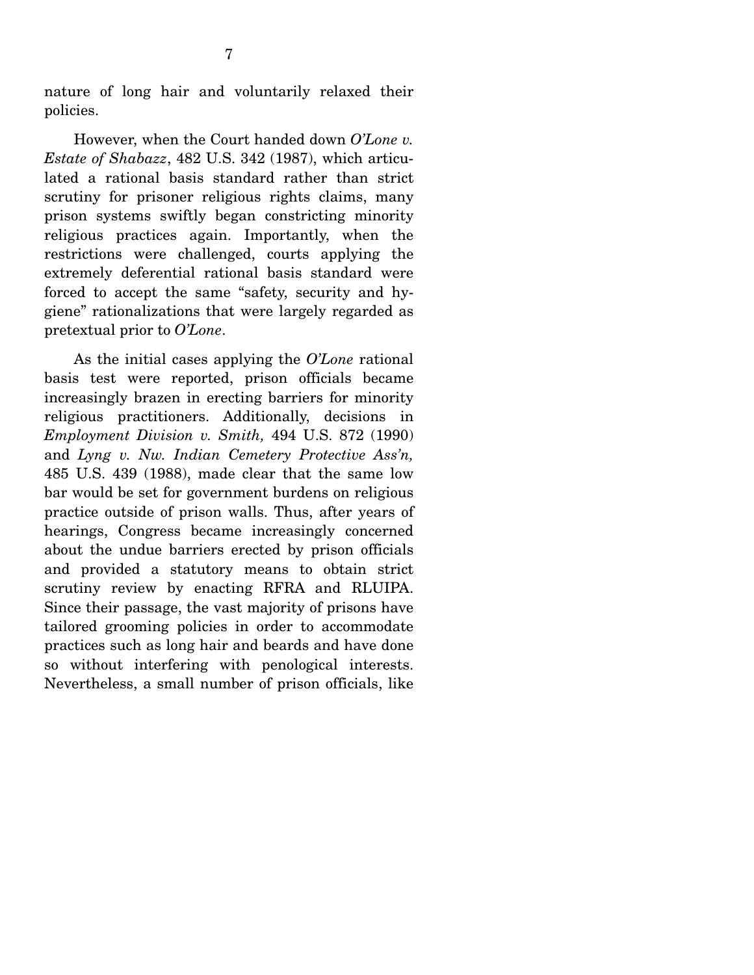nature of long hair and voluntarily relaxed their policies.

 However, when the Court handed down *O'Lone v. Estate of Shabazz*, 482 U.S. 342 (1987), which articulated a rational basis standard rather than strict scrutiny for prisoner religious rights claims, many prison systems swiftly began constricting minority religious practices again. Importantly, when the restrictions were challenged, courts applying the extremely deferential rational basis standard were forced to accept the same "safety, security and hygiene" rationalizations that were largely regarded as pretextual prior to *O'Lone*.

 As the initial cases applying the *O'Lone* rational basis test were reported, prison officials became increasingly brazen in erecting barriers for minority religious practitioners. Additionally, decisions in *Employment Division v. Smith,* 494 U.S. 872 (1990) and *Lyng v. Nw. Indian Cemetery Protective Ass'n,*  485 U.S. 439 (1988), made clear that the same low bar would be set for government burdens on religious practice outside of prison walls. Thus, after years of hearings, Congress became increasingly concerned about the undue barriers erected by prison officials and provided a statutory means to obtain strict scrutiny review by enacting RFRA and RLUIPA. Since their passage, the vast majority of prisons have tailored grooming policies in order to accommodate practices such as long hair and beards and have done so without interfering with penological interests. Nevertheless, a small number of prison officials, like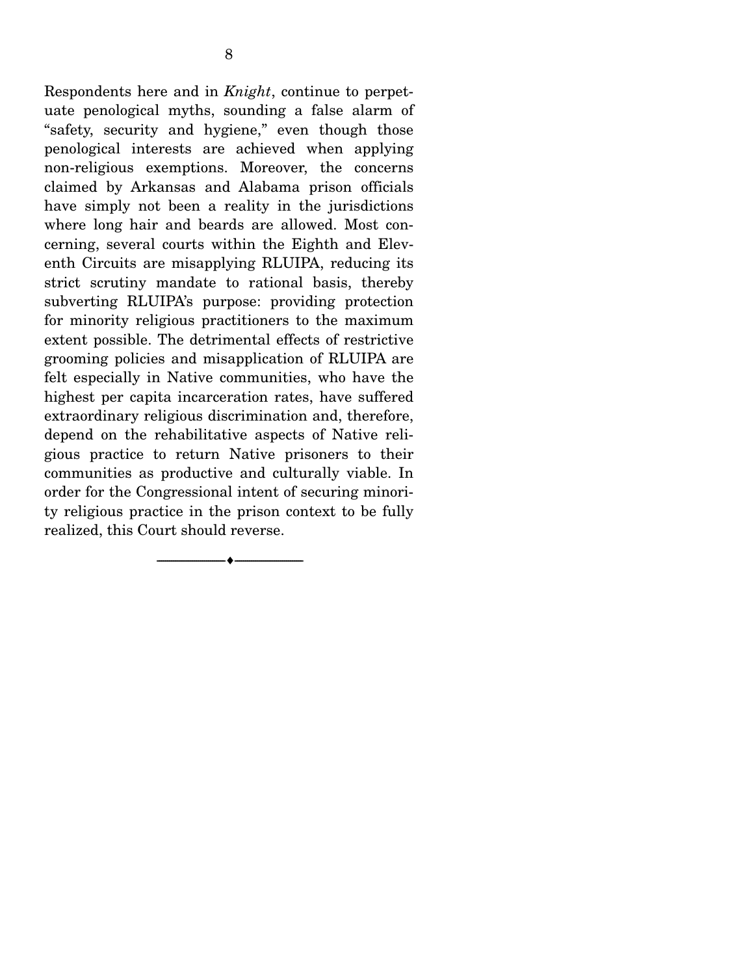Respondents here and in *Knight*, continue to perpetuate penological myths, sounding a false alarm of "safety, security and hygiene," even though those penological interests are achieved when applying non-religious exemptions. Moreover, the concerns claimed by Arkansas and Alabama prison officials have simply not been a reality in the jurisdictions where long hair and beards are allowed. Most concerning, several courts within the Eighth and Eleventh Circuits are misapplying RLUIPA, reducing its strict scrutiny mandate to rational basis, thereby subverting RLUIPA's purpose: providing protection for minority religious practitioners to the maximum extent possible. The detrimental effects of restrictive grooming policies and misapplication of RLUIPA are felt especially in Native communities, who have the highest per capita incarceration rates, have suffered extraordinary religious discrimination and, therefore, depend on the rehabilitative aspects of Native religious practice to return Native prisoners to their communities as productive and culturally viable. In order for the Congressional intent of securing minority religious practice in the prison context to be fully realized, this Court should reverse.

--------------------------------- ---------------------------------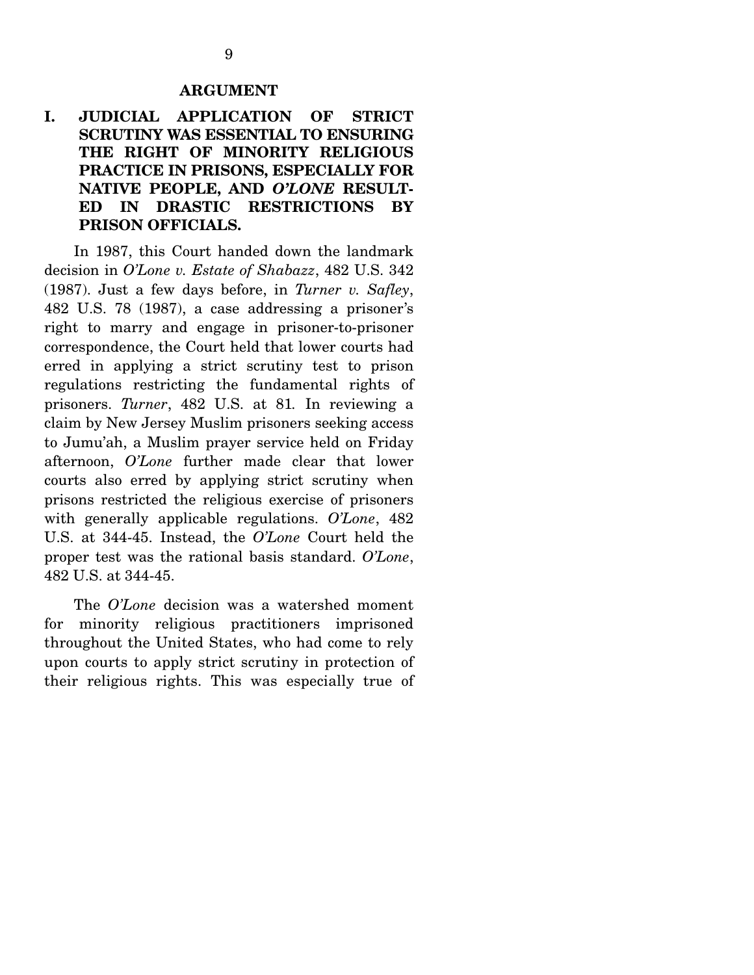#### **ARGUMENT**

### **I. JUDICIAL APPLICATION OF STRICT SCRUTINY WAS ESSENTIAL TO ENSURING THE RIGHT OF MINORITY RELIGIOUS PRACTICE IN PRISONS, ESPECIALLY FOR NATIVE PEOPLE, AND** *O'LONE* **RESULT-ED IN DRASTIC RESTRICTIONS BY PRISON OFFICIALS.**

In 1987, this Court handed down the landmark decision in *O'Lone v. Estate of Shabazz*, 482 U.S. 342 (1987). Just a few days before, in *Turner v. Safley*, 482 U.S. 78 (1987), a case addressing a prisoner's right to marry and engage in prisoner-to-prisoner correspondence, the Court held that lower courts had erred in applying a strict scrutiny test to prison regulations restricting the fundamental rights of prisoners. *Turner*, 482 U.S. at 81*.* In reviewing a claim by New Jersey Muslim prisoners seeking access to Jumu'ah, a Muslim prayer service held on Friday afternoon, *O'Lone* further made clear that lower courts also erred by applying strict scrutiny when prisons restricted the religious exercise of prisoners with generally applicable regulations. *O'Lone*, 482 U.S. at 344-45. Instead, the *O'Lone* Court held the proper test was the rational basis standard. *O'Lone*, 482 U.S. at 344-45.

 The *O'Lone* decision was a watershed moment for minority religious practitioners imprisoned throughout the United States, who had come to rely upon courts to apply strict scrutiny in protection of their religious rights. This was especially true of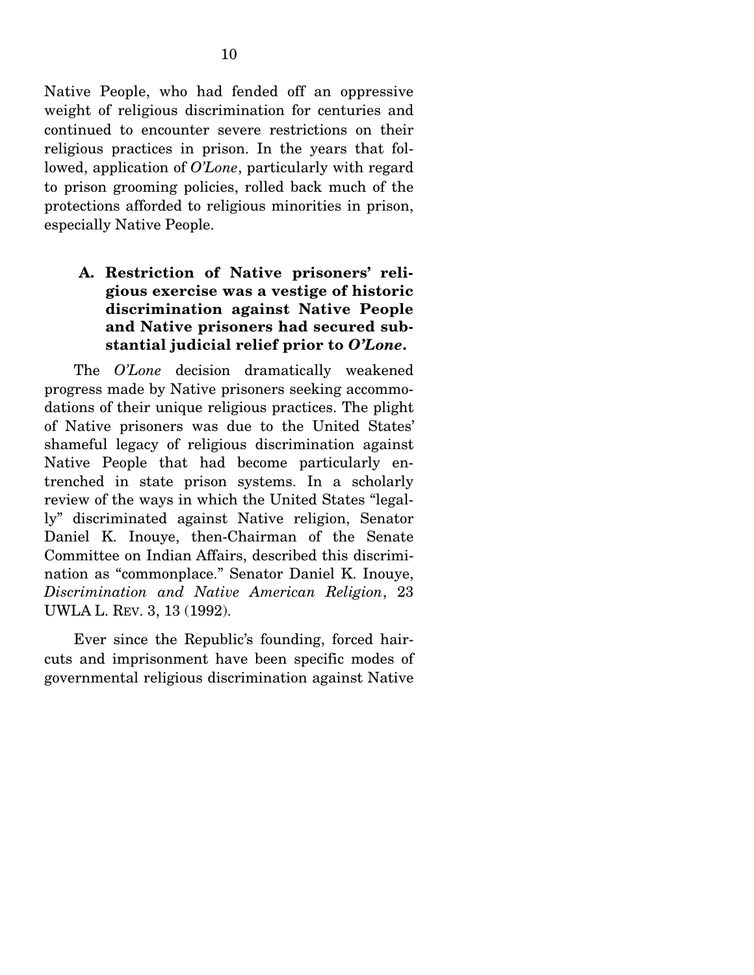Native People, who had fended off an oppressive weight of religious discrimination for centuries and continued to encounter severe restrictions on their religious practices in prison. In the years that followed, application of *O'Lone*, particularly with regard to prison grooming policies, rolled back much of the protections afforded to religious minorities in prison, especially Native People.

### **A. Restriction of Native prisoners' religious exercise was a vestige of historic discrimination against Native People and Native prisoners had secured substantial judicial relief prior to** *O'Lone***.**

The *O'Lone* decision dramatically weakened progress made by Native prisoners seeking accommodations of their unique religious practices. The plight of Native prisoners was due to the United States' shameful legacy of religious discrimination against Native People that had become particularly entrenched in state prison systems. In a scholarly review of the ways in which the United States "legally" discriminated against Native religion, Senator Daniel K. Inouye, then-Chairman of the Senate Committee on Indian Affairs, described this discrimination as "commonplace." Senator Daniel K. Inouye, *Discrimination and Native American Religion*, 23 UWLA L. REV. 3, 13 (1992).

 Ever since the Republic's founding, forced haircuts and imprisonment have been specific modes of governmental religious discrimination against Native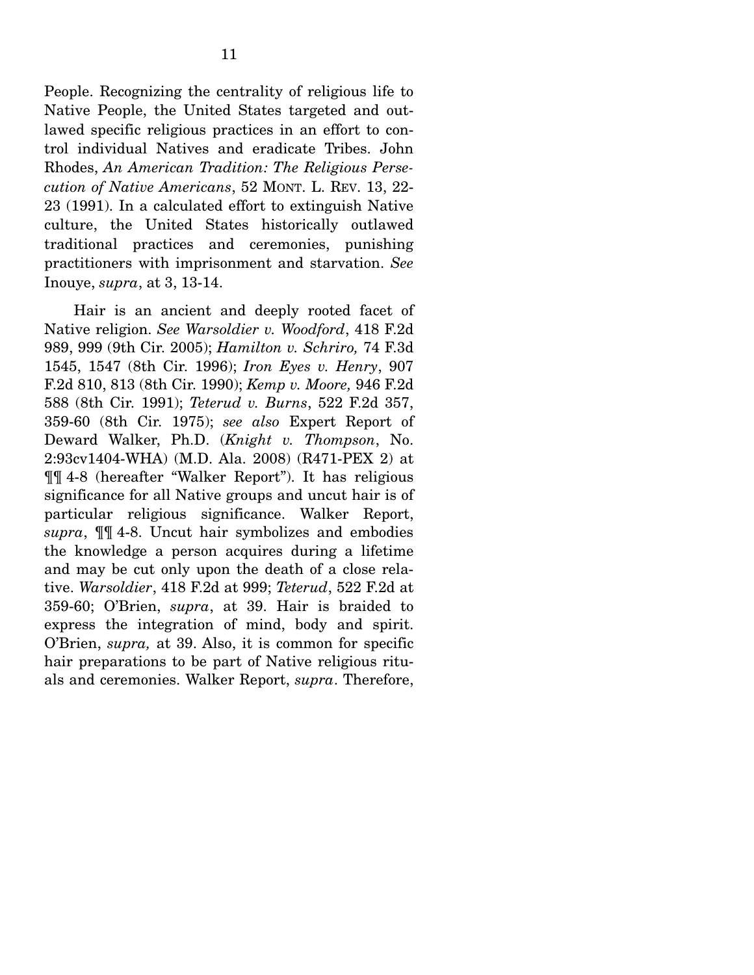People. Recognizing the centrality of religious life to Native People, the United States targeted and outlawed specific religious practices in an effort to control individual Natives and eradicate Tribes. John Rhodes, *An American Tradition: The Religious Persecution of Native Americans*, 52 MONT. L. REV. 13, 22- 23 (1991). In a calculated effort to extinguish Native culture, the United States historically outlawed traditional practices and ceremonies, punishing practitioners with imprisonment and starvation. *See* Inouye, *supra*, at 3, 13-14.

 Hair is an ancient and deeply rooted facet of Native religion. *See Warsoldier v. Woodford*, 418 F.2d 989, 999 (9th Cir. 2005); *Hamilton v. Schriro,* 74 F.3d 1545, 1547 (8th Cir. 1996); *Iron Eyes v. Henry*, 907 F.2d 810, 813 (8th Cir. 1990); *Kemp v. Moore,* 946 F.2d 588 (8th Cir. 1991); *Teterud v. Burns*, 522 F.2d 357, 359-60 (8th Cir. 1975); *see also* Expert Report of Deward Walker, Ph.D. (*Knight v. Thompson*, No. 2:93cv1404-WHA) (M.D. Ala. 2008) (R471-PEX 2) at ¶¶ 4-8 (hereafter "Walker Report"). It has religious significance for all Native groups and uncut hair is of particular religious significance. Walker Report, *supra*, ¶¶ 4-8. Uncut hair symbolizes and embodies the knowledge a person acquires during a lifetime and may be cut only upon the death of a close relative. *Warsoldier*, 418 F.2d at 999; *Teterud*, 522 F.2d at 359-60; O'Brien, *supra*, at 39. Hair is braided to express the integration of mind, body and spirit. O'Brien, *supra,* at 39. Also, it is common for specific hair preparations to be part of Native religious rituals and ceremonies. Walker Report, *supra*. Therefore,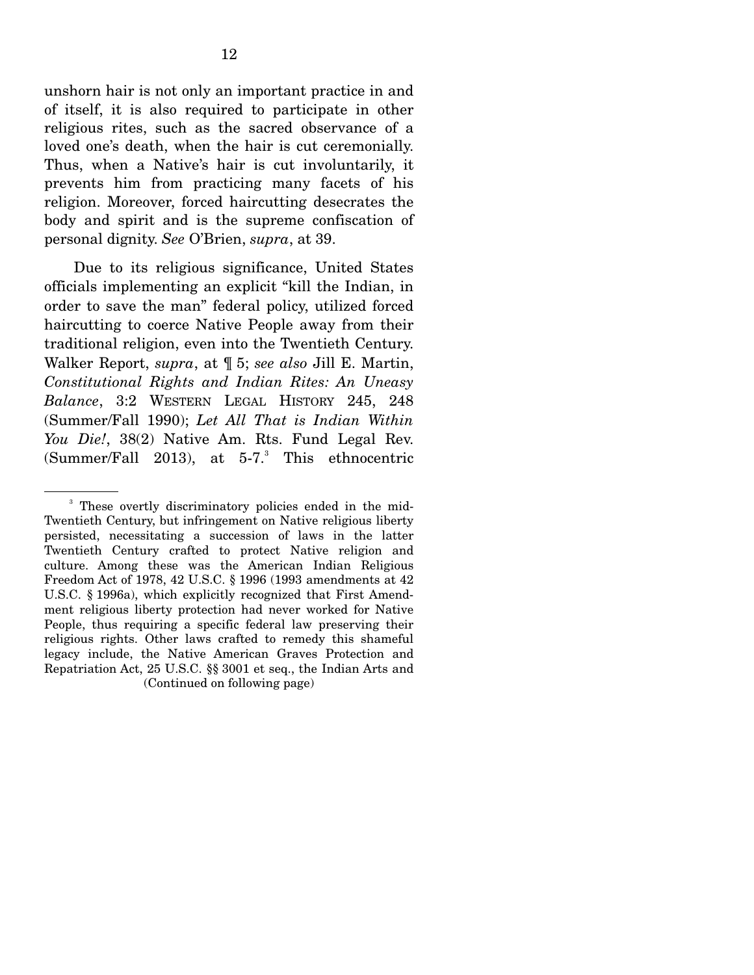unshorn hair is not only an important practice in and of itself, it is also required to participate in other religious rites, such as the sacred observance of a loved one's death, when the hair is cut ceremonially. Thus, when a Native's hair is cut involuntarily, it prevents him from practicing many facets of his religion. Moreover, forced haircutting desecrates the body and spirit and is the supreme confiscation of personal dignity. *See* O'Brien, *supra*, at 39.

 Due to its religious significance, United States officials implementing an explicit "kill the Indian, in order to save the man" federal policy, utilized forced haircutting to coerce Native People away from their traditional religion, even into the Twentieth Century. Walker Report, *supra*, at ¶ 5; *see also* Jill E. Martin, *Constitutional Rights and Indian Rites: An Uneasy Balance*, 3:2 WESTERN LEGAL HISTORY 245, 248 (Summer/Fall 1990); *Let All That is Indian Within You Die!*, 38(2) Native Am. Rts. Fund Legal Rev. (Summer/Fall 2013), at  $5\text{-}7$ .<sup>3</sup> This ethnocentric

<sup>&</sup>lt;sup>3</sup> These overtly discriminatory policies ended in the mid-Twentieth Century, but infringement on Native religious liberty persisted, necessitating a succession of laws in the latter Twentieth Century crafted to protect Native religion and culture. Among these was the American Indian Religious Freedom Act of 1978, 42 U.S.C. § 1996 (1993 amendments at 42 U.S.C. § 1996a), which explicitly recognized that First Amendment religious liberty protection had never worked for Native People, thus requiring a specific federal law preserving their religious rights. Other laws crafted to remedy this shameful legacy include, the Native American Graves Protection and Repatriation Act, 25 U.S.C. §§ 3001 et seq., the Indian Arts and (Continued on following page)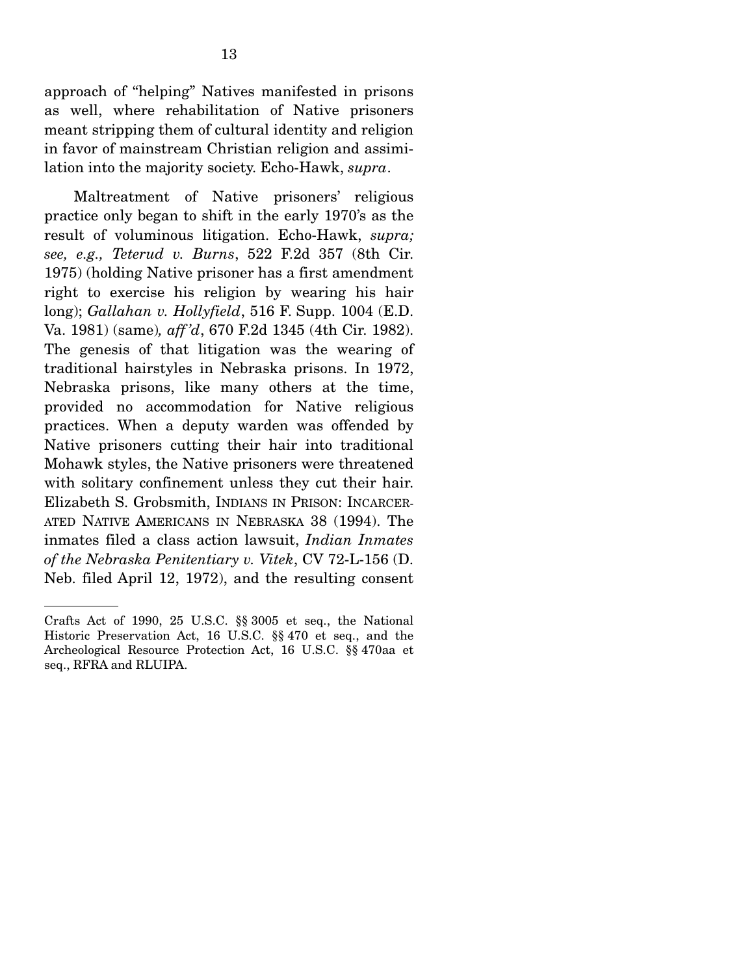approach of "helping" Natives manifested in prisons as well, where rehabilitation of Native prisoners meant stripping them of cultural identity and religion in favor of mainstream Christian religion and assimilation into the majority society. Echo-Hawk, *supra*.

 Maltreatment of Native prisoners' religious practice only began to shift in the early 1970's as the result of voluminous litigation. Echo-Hawk, *supra; see, e.g., Teterud v. Burns*, 522 F.2d 357 (8th Cir. 1975) (holding Native prisoner has a first amendment right to exercise his religion by wearing his hair long); *Gallahan v. Hollyfield*, 516 F. Supp. 1004 (E.D. Va. 1981) (same)*, aff 'd*, 670 F.2d 1345 (4th Cir. 1982). The genesis of that litigation was the wearing of traditional hairstyles in Nebraska prisons. In 1972, Nebraska prisons, like many others at the time, provided no accommodation for Native religious practices. When a deputy warden was offended by Native prisoners cutting their hair into traditional Mohawk styles, the Native prisoners were threatened with solitary confinement unless they cut their hair. Elizabeth S. Grobsmith, INDIANS IN PRISON: INCARCER-ATED NATIVE AMERICANS IN NEBRASKA 38 (1994). The inmates filed a class action lawsuit, *Indian Inmates of the Nebraska Penitentiary v. Vitek*, CV 72-L-156 (D. Neb. filed April 12, 1972), and the resulting consent

Crafts Act of 1990, 25 U.S.C. §§ 3005 et seq., the National Historic Preservation Act, 16 U.S.C. §§ 470 et seq., and the Archeological Resource Protection Act, 16 U.S.C. §§ 470aa et seq., RFRA and RLUIPA.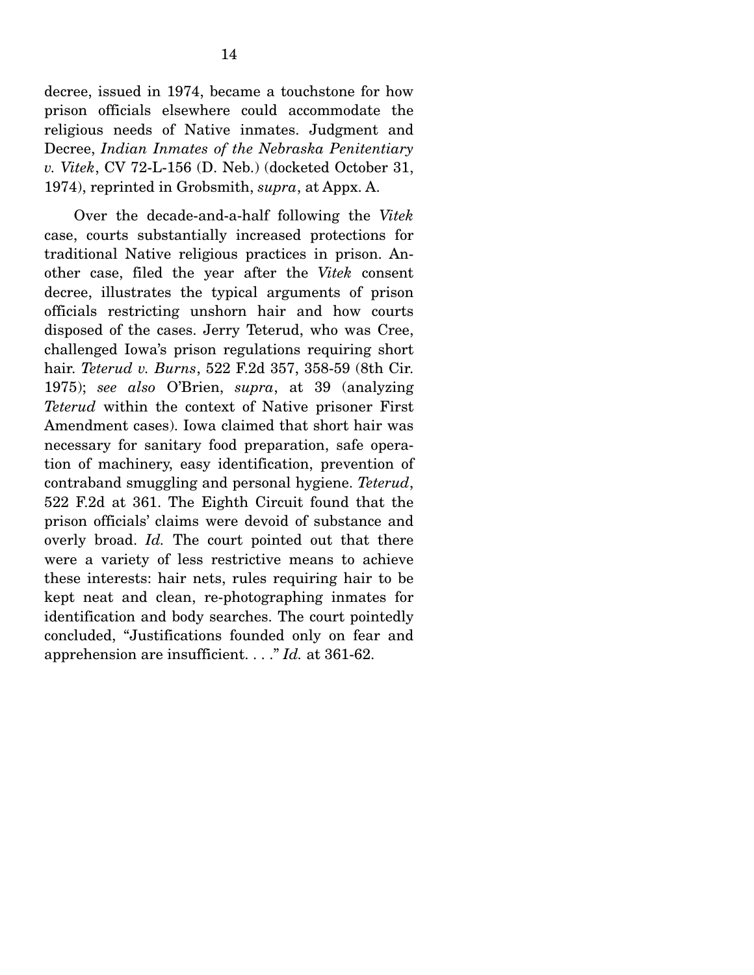decree, issued in 1974, became a touchstone for how prison officials elsewhere could accommodate the religious needs of Native inmates. Judgment and Decree, *Indian Inmates of the Nebraska Penitentiary v. Vitek*, CV 72-L-156 (D. Neb.) (docketed October 31, 1974), reprinted in Grobsmith, *supra*, at Appx. A.

 Over the decade-and-a-half following the *Vitek* case, courts substantially increased protections for traditional Native religious practices in prison. Another case, filed the year after the *Vitek* consent decree, illustrates the typical arguments of prison officials restricting unshorn hair and how courts disposed of the cases. Jerry Teterud, who was Cree, challenged Iowa's prison regulations requiring short hair. *Teterud v. Burns*, 522 F.2d 357, 358-59 (8th Cir. 1975); *see also* O'Brien, *supra*, at 39 (analyzing *Teterud* within the context of Native prisoner First Amendment cases). Iowa claimed that short hair was necessary for sanitary food preparation, safe operation of machinery, easy identification, prevention of contraband smuggling and personal hygiene. *Teterud*, 522 F.2d at 361. The Eighth Circuit found that the prison officials' claims were devoid of substance and overly broad. *Id.* The court pointed out that there were a variety of less restrictive means to achieve these interests: hair nets, rules requiring hair to be kept neat and clean, re-photographing inmates for identification and body searches. The court pointedly concluded, "Justifications founded only on fear and apprehension are insufficient. . . ." *Id.* at 361-62.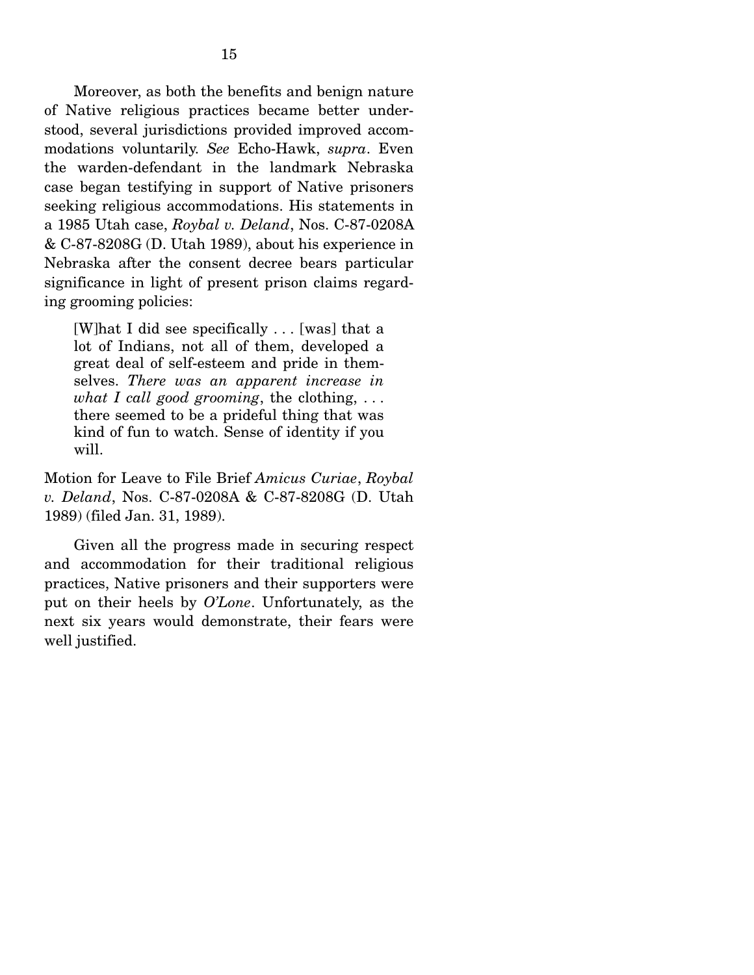Moreover, as both the benefits and benign nature of Native religious practices became better understood, several jurisdictions provided improved accommodations voluntarily. *See* Echo-Hawk, *supra*. Even the warden-defendant in the landmark Nebraska case began testifying in support of Native prisoners seeking religious accommodations. His statements in a 1985 Utah case, *Roybal v. Deland*, Nos. C-87-0208A & C-87-8208G (D. Utah 1989), about his experience in Nebraska after the consent decree bears particular significance in light of present prison claims regarding grooming policies:

[W]hat I did see specifically . . . [was] that a lot of Indians, not all of them, developed a great deal of self-esteem and pride in themselves. *There was an apparent increase in what I call good grooming*, the clothing, . . . there seemed to be a prideful thing that was kind of fun to watch. Sense of identity if you will.

Motion for Leave to File Brief *Amicus Curiae*, *Roybal v. Deland*, Nos. C-87-0208A & C-87-8208G (D. Utah 1989) (filed Jan. 31, 1989).

 Given all the progress made in securing respect and accommodation for their traditional religious practices, Native prisoners and their supporters were put on their heels by *O'Lone*. Unfortunately, as the next six years would demonstrate, their fears were well justified.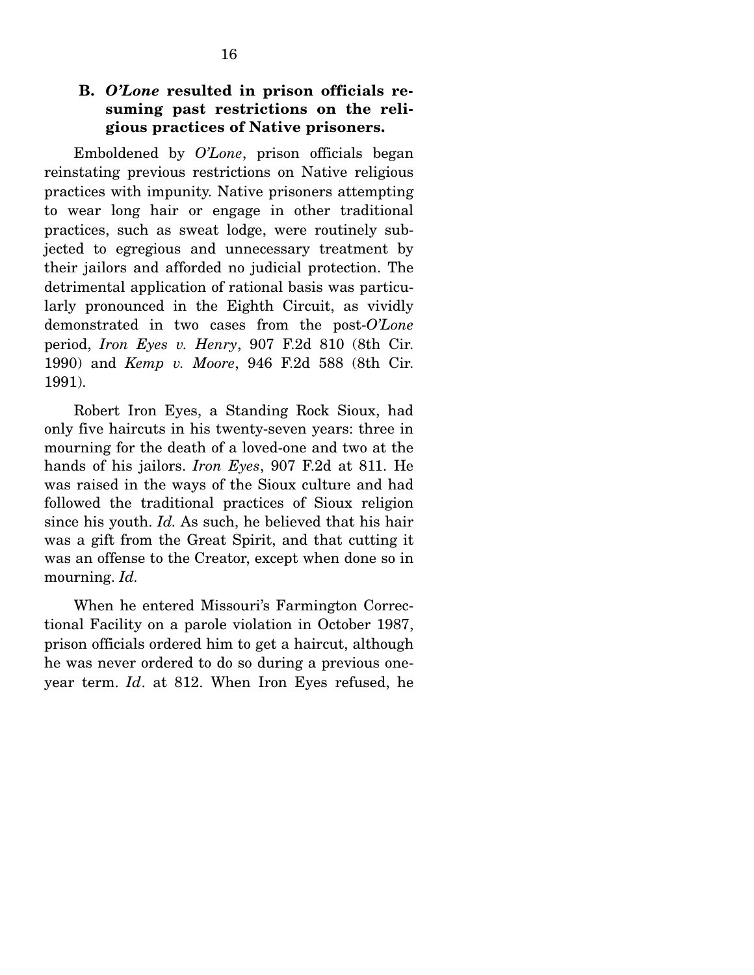### **B.** *O'Lone* **resulted in prison officials resuming past restrictions on the religious practices of Native prisoners.**

 Emboldened by *O'Lone*, prison officials began reinstating previous restrictions on Native religious practices with impunity. Native prisoners attempting to wear long hair or engage in other traditional practices, such as sweat lodge, were routinely subjected to egregious and unnecessary treatment by their jailors and afforded no judicial protection. The detrimental application of rational basis was particularly pronounced in the Eighth Circuit, as vividly demonstrated in two cases from the post-*O'Lone*  period, *Iron Eyes v. Henry*, 907 F.2d 810 (8th Cir. 1990) and *Kemp v. Moore*, 946 F.2d 588 (8th Cir. 1991).

 Robert Iron Eyes, a Standing Rock Sioux, had only five haircuts in his twenty-seven years: three in mourning for the death of a loved-one and two at the hands of his jailors. *Iron Eyes*, 907 F.2d at 811. He was raised in the ways of the Sioux culture and had followed the traditional practices of Sioux religion since his youth. *Id.* As such, he believed that his hair was a gift from the Great Spirit, and that cutting it was an offense to the Creator, except when done so in mourning. *Id.*

 When he entered Missouri's Farmington Correctional Facility on a parole violation in October 1987, prison officials ordered him to get a haircut, although he was never ordered to do so during a previous oneyear term. *Id*. at 812. When Iron Eyes refused, he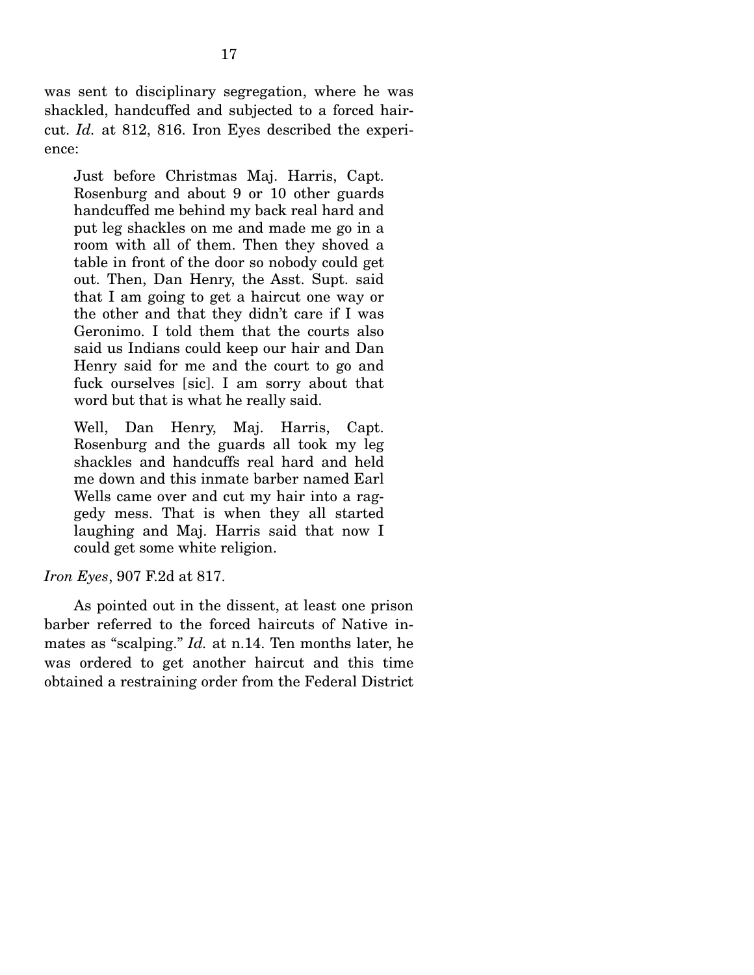was sent to disciplinary segregation, where he was shackled, handcuffed and subjected to a forced haircut. *Id.* at 812, 816. Iron Eyes described the experience:

Just before Christmas Maj. Harris, Capt. Rosenburg and about 9 or 10 other guards handcuffed me behind my back real hard and put leg shackles on me and made me go in a room with all of them. Then they shoved a table in front of the door so nobody could get out. Then, Dan Henry, the Asst. Supt. said that I am going to get a haircut one way or the other and that they didn't care if I was Geronimo. I told them that the courts also said us Indians could keep our hair and Dan Henry said for me and the court to go and fuck ourselves [sic]. I am sorry about that word but that is what he really said.

Well, Dan Henry, Maj. Harris, Capt. Rosenburg and the guards all took my leg shackles and handcuffs real hard and held me down and this inmate barber named Earl Wells came over and cut my hair into a raggedy mess. That is when they all started laughing and Maj. Harris said that now I could get some white religion.

*Iron Eyes*, 907 F.2d at 817.

 As pointed out in the dissent, at least one prison barber referred to the forced haircuts of Native inmates as "scalping." *Id.* at n.14. Ten months later, he was ordered to get another haircut and this time obtained a restraining order from the Federal District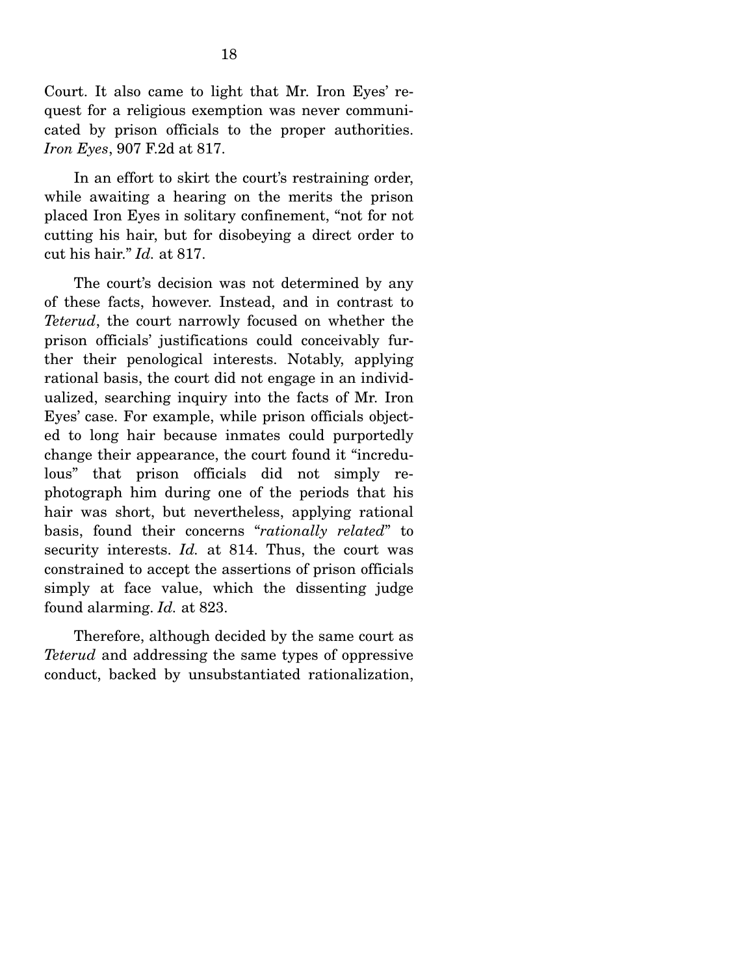Court. It also came to light that Mr. Iron Eyes' request for a religious exemption was never communicated by prison officials to the proper authorities. *Iron Eyes*, 907 F.2d at 817.

 In an effort to skirt the court's restraining order, while awaiting a hearing on the merits the prison placed Iron Eyes in solitary confinement, "not for not cutting his hair, but for disobeying a direct order to cut his hair." *Id.* at 817.

 The court's decision was not determined by any of these facts, however. Instead, and in contrast to *Teterud*, the court narrowly focused on whether the prison officials' justifications could conceivably further their penological interests. Notably, applying rational basis, the court did not engage in an individualized, searching inquiry into the facts of Mr. Iron Eyes' case. For example, while prison officials objected to long hair because inmates could purportedly change their appearance, the court found it "incredulous" that prison officials did not simply rephotograph him during one of the periods that his hair was short, but nevertheless, applying rational basis, found their concerns "*rationally related*" to security interests. *Id.* at 814. Thus, the court was constrained to accept the assertions of prison officials simply at face value, which the dissenting judge found alarming. *Id.* at 823.

 Therefore, although decided by the same court as *Teterud* and addressing the same types of oppressive conduct, backed by unsubstantiated rationalization,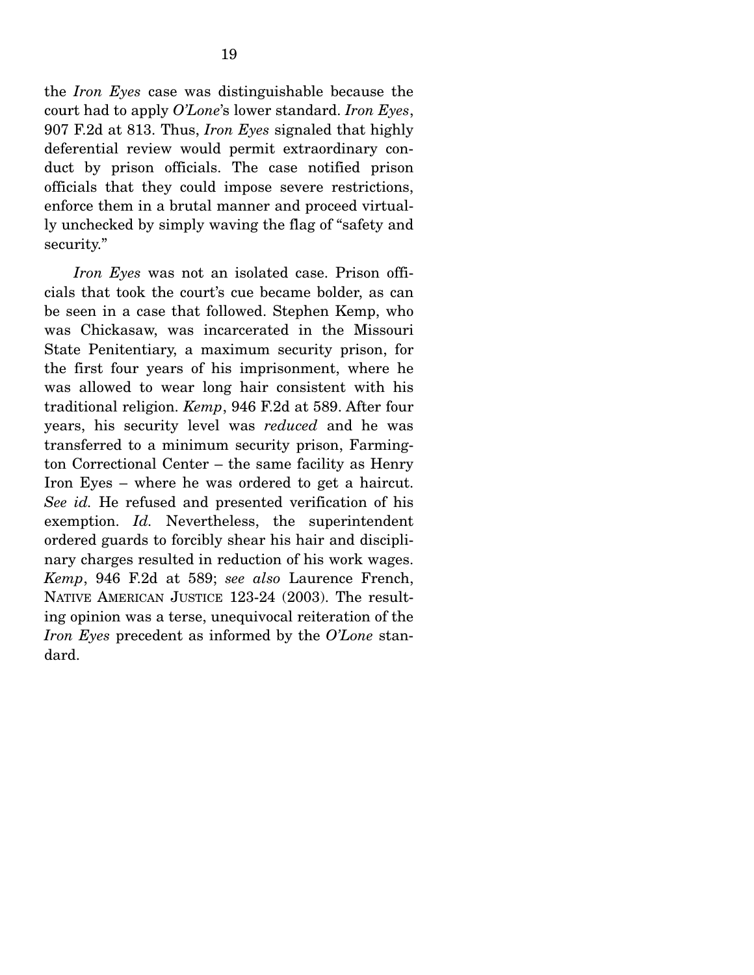the *Iron Eyes* case was distinguishable because the court had to apply *O'Lone*'s lower standard. *Iron Eyes*, 907 F.2d at 813. Thus, *Iron Eyes* signaled that highly deferential review would permit extraordinary conduct by prison officials. The case notified prison officials that they could impose severe restrictions, enforce them in a brutal manner and proceed virtually unchecked by simply waving the flag of "safety and security."

*Iron Eyes* was not an isolated case. Prison officials that took the court's cue became bolder, as can be seen in a case that followed. Stephen Kemp, who was Chickasaw, was incarcerated in the Missouri State Penitentiary, a maximum security prison, for the first four years of his imprisonment, where he was allowed to wear long hair consistent with his traditional religion. *Kemp*, 946 F.2d at 589. After four years, his security level was *reduced* and he was transferred to a minimum security prison, Farmington Correctional Center – the same facility as Henry Iron Eyes – where he was ordered to get a haircut. *See id.* He refused and presented verification of his exemption. *Id.* Nevertheless, the superintendent ordered guards to forcibly shear his hair and disciplinary charges resulted in reduction of his work wages. *Kemp*, 946 F.2d at 589; *see also* Laurence French, NATIVE AMERICAN JUSTICE 123-24 (2003). The resulting opinion was a terse, unequivocal reiteration of the *Iron Eyes* precedent as informed by the *O'Lone* standard.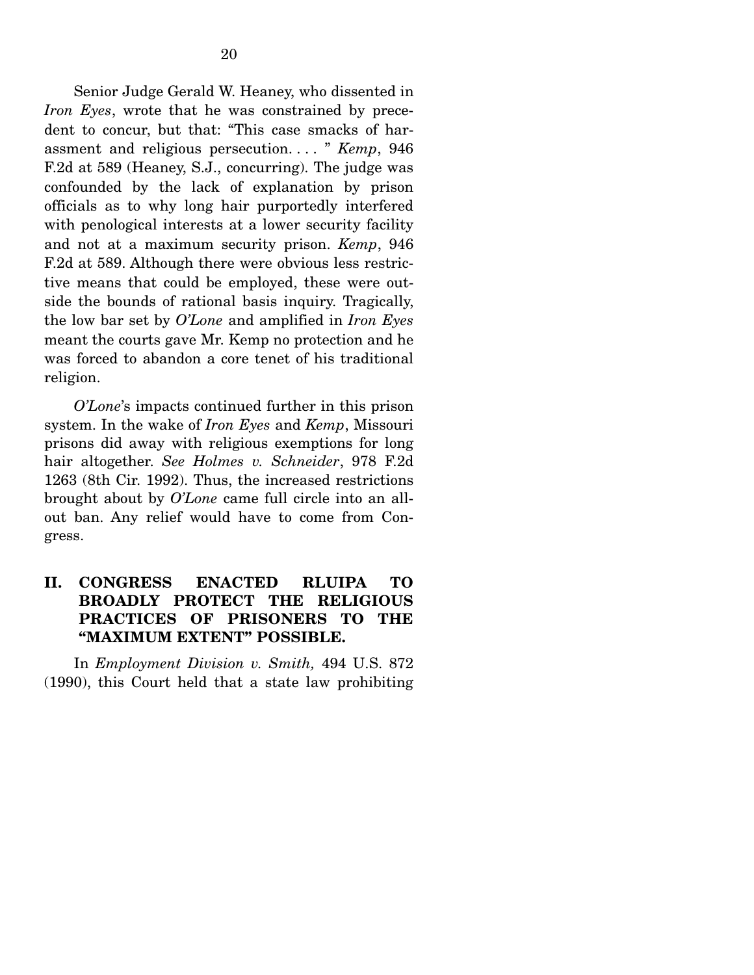Senior Judge Gerald W. Heaney, who dissented in *Iron Eyes*, wrote that he was constrained by precedent to concur, but that: "This case smacks of harassment and religious persecution. . . . " *Kemp*, 946 F.2d at 589 (Heaney, S.J., concurring). The judge was confounded by the lack of explanation by prison officials as to why long hair purportedly interfered with penological interests at a lower security facility and not at a maximum security prison. *Kemp*, 946 F.2d at 589. Although there were obvious less restrictive means that could be employed, these were outside the bounds of rational basis inquiry. Tragically, the low bar set by *O'Lone* and amplified in *Iron Eyes* meant the courts gave Mr. Kemp no protection and he was forced to abandon a core tenet of his traditional religion.

*O'Lone*'s impacts continued further in this prison system. In the wake of *Iron Eyes* and *Kemp*, Missouri prisons did away with religious exemptions for long hair altogether. *See Holmes v. Schneider*, 978 F.2d 1263 (8th Cir. 1992). Thus, the increased restrictions brought about by *O'Lone* came full circle into an allout ban. Any relief would have to come from Congress.

### **II. CONGRESS ENACTED RLUIPA TO BROADLY PROTECT THE RELIGIOUS PRACTICES OF PRISONERS TO THE "MAXIMUM EXTENT" POSSIBLE.**

In *Employment Division v. Smith,* 494 U.S. 872 (1990), this Court held that a state law prohibiting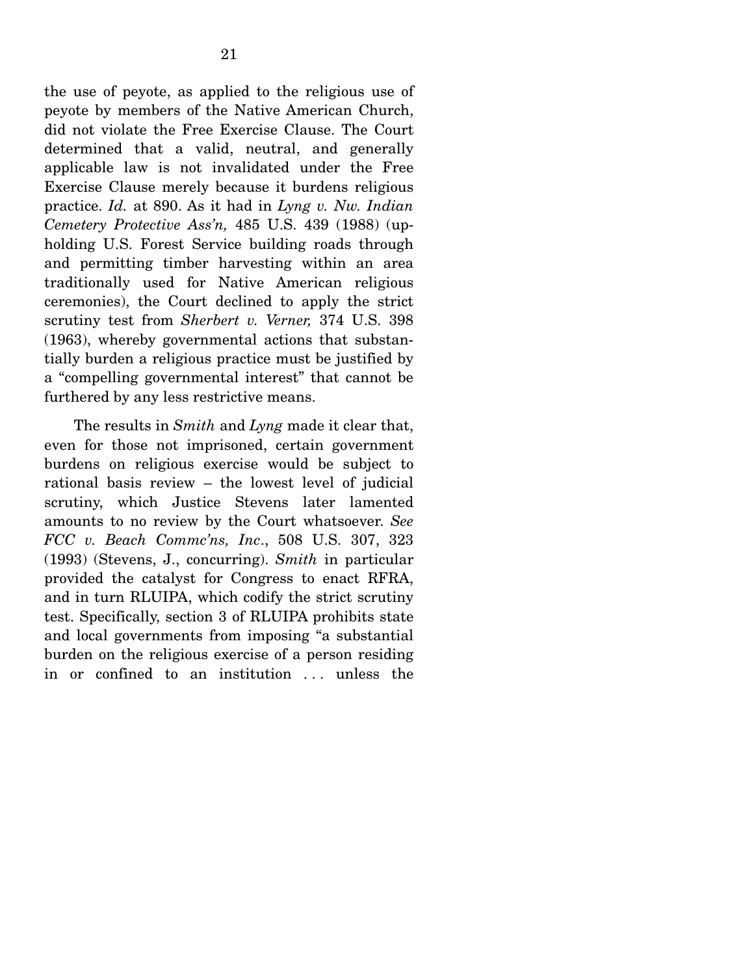the use of peyote, as applied to the religious use of peyote by members of the Native American Church, did not violate the Free Exercise Clause. The Court determined that a valid, neutral, and generally applicable law is not invalidated under the Free Exercise Clause merely because it burdens religious practice. *Id.* at 890. As it had in *Lyng v. Nw. Indian Cemetery Protective Ass'n,* 485 U.S. 439 (1988) (upholding U.S. Forest Service building roads through and permitting timber harvesting within an area traditionally used for Native American religious ceremonies), the Court declined to apply the strict scrutiny test from *Sherbert v. Verner,* 374 U.S. 398 (1963), whereby governmental actions that substantially burden a religious practice must be justified by a "compelling governmental interest" that cannot be furthered by any less restrictive means.

 The results in *Smith* and *Lyng* made it clear that, even for those not imprisoned, certain government burdens on religious exercise would be subject to rational basis review – the lowest level of judicial scrutiny, which Justice Stevens later lamented amounts to no review by the Court whatsoever. *See FCC v. Beach Commc'ns, Inc*., 508 U.S. 307, 323 (1993) (Stevens, J., concurring). *Smith* in particular provided the catalyst for Congress to enact RFRA, and in turn RLUIPA, which codify the strict scrutiny test. Specifically, section 3 of RLUIPA prohibits state and local governments from imposing "a substantial burden on the religious exercise of a person residing in or confined to an institution ... unless the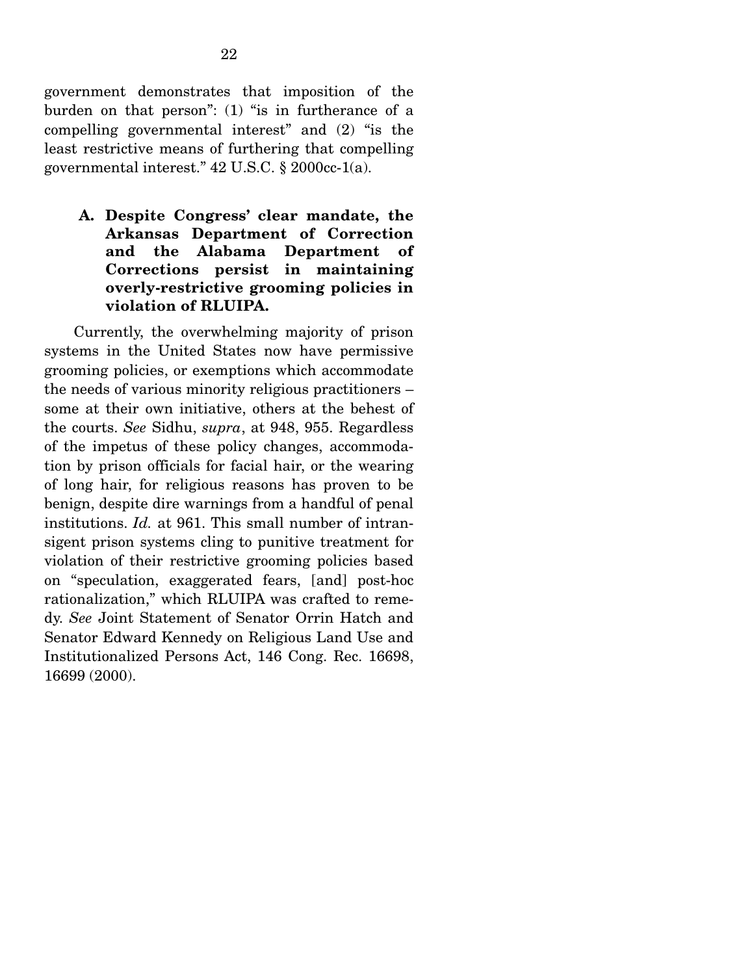government demonstrates that imposition of the burden on that person": (1) "is in furtherance of a compelling governmental interest" and (2) "is the least restrictive means of furthering that compelling governmental interest." 42 U.S.C. § 2000cc-1(a).

**A. Despite Congress' clear mandate, the Arkansas Department of Correction and the Alabama Department of Corrections persist in maintaining overly-restrictive grooming policies in violation of RLUIPA.** 

Currently, the overwhelming majority of prison systems in the United States now have permissive grooming policies, or exemptions which accommodate the needs of various minority religious practitioners – some at their own initiative, others at the behest of the courts. *See* Sidhu, *supra*, at 948, 955. Regardless of the impetus of these policy changes, accommodation by prison officials for facial hair, or the wearing of long hair, for religious reasons has proven to be benign, despite dire warnings from a handful of penal institutions. *Id.* at 961. This small number of intransigent prison systems cling to punitive treatment for violation of their restrictive grooming policies based on "speculation, exaggerated fears, [and] post-hoc rationalization," which RLUIPA was crafted to remedy. *See* Joint Statement of Senator Orrin Hatch and Senator Edward Kennedy on Religious Land Use and Institutionalized Persons Act, 146 Cong. Rec. 16698, 16699 (2000).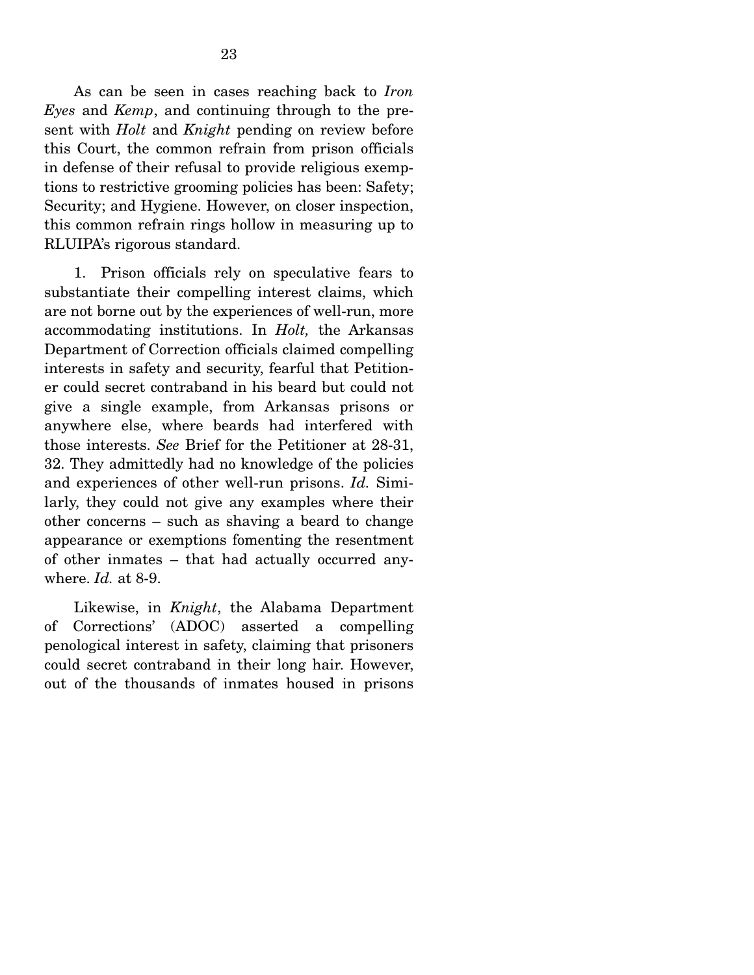As can be seen in cases reaching back to *Iron Eyes* and *Kemp*, and continuing through to the present with *Holt* and *Knight* pending on review before this Court, the common refrain from prison officials in defense of their refusal to provide religious exemptions to restrictive grooming policies has been: Safety; Security; and Hygiene. However, on closer inspection, this common refrain rings hollow in measuring up to RLUIPA's rigorous standard.

 1. Prison officials rely on speculative fears to substantiate their compelling interest claims, which are not borne out by the experiences of well-run, more accommodating institutions. In *Holt,* the Arkansas Department of Correction officials claimed compelling interests in safety and security, fearful that Petitioner could secret contraband in his beard but could not give a single example, from Arkansas prisons or anywhere else, where beards had interfered with those interests. *See* Brief for the Petitioner at 28-31, 32. They admittedly had no knowledge of the policies and experiences of other well-run prisons. *Id.* Similarly, they could not give any examples where their other concerns – such as shaving a beard to change appearance or exemptions fomenting the resentment of other inmates – that had actually occurred anywhere. *Id.* at 8-9.

 Likewise, in *Knight*, the Alabama Department of Corrections' (ADOC) asserted a compelling penological interest in safety, claiming that prisoners could secret contraband in their long hair. However, out of the thousands of inmates housed in prisons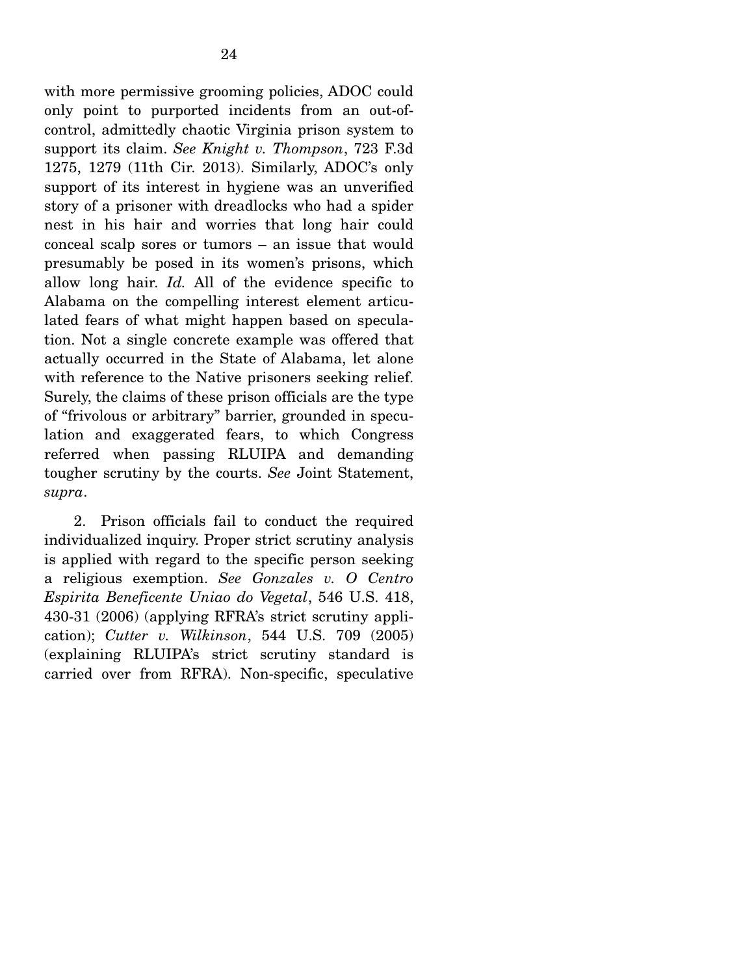with more permissive grooming policies, ADOC could only point to purported incidents from an out-ofcontrol, admittedly chaotic Virginia prison system to support its claim. *See Knight v. Thompson*, 723 F.3d 1275, 1279 (11th Cir. 2013). Similarly, ADOC's only support of its interest in hygiene was an unverified story of a prisoner with dreadlocks who had a spider nest in his hair and worries that long hair could conceal scalp sores or tumors – an issue that would presumably be posed in its women's prisons, which allow long hair. *Id.* All of the evidence specific to Alabama on the compelling interest element articulated fears of what might happen based on speculation. Not a single concrete example was offered that actually occurred in the State of Alabama, let alone with reference to the Native prisoners seeking relief. Surely, the claims of these prison officials are the type of "frivolous or arbitrary" barrier, grounded in speculation and exaggerated fears, to which Congress referred when passing RLUIPA and demanding tougher scrutiny by the courts. *See* Joint Statement,

 2. Prison officials fail to conduct the required individualized inquiry. Proper strict scrutiny analysis is applied with regard to the specific person seeking a religious exemption. *See Gonzales v. O Centro Espirita Beneficente Uniao do Vegetal*, 546 U.S. 418, 430-31 (2006) (applying RFRA's strict scrutiny application); *Cutter v. Wilkinson*, 544 U.S. 709 (2005) (explaining RLUIPA's strict scrutiny standard is carried over from RFRA). Non-specific, speculative

*supra*.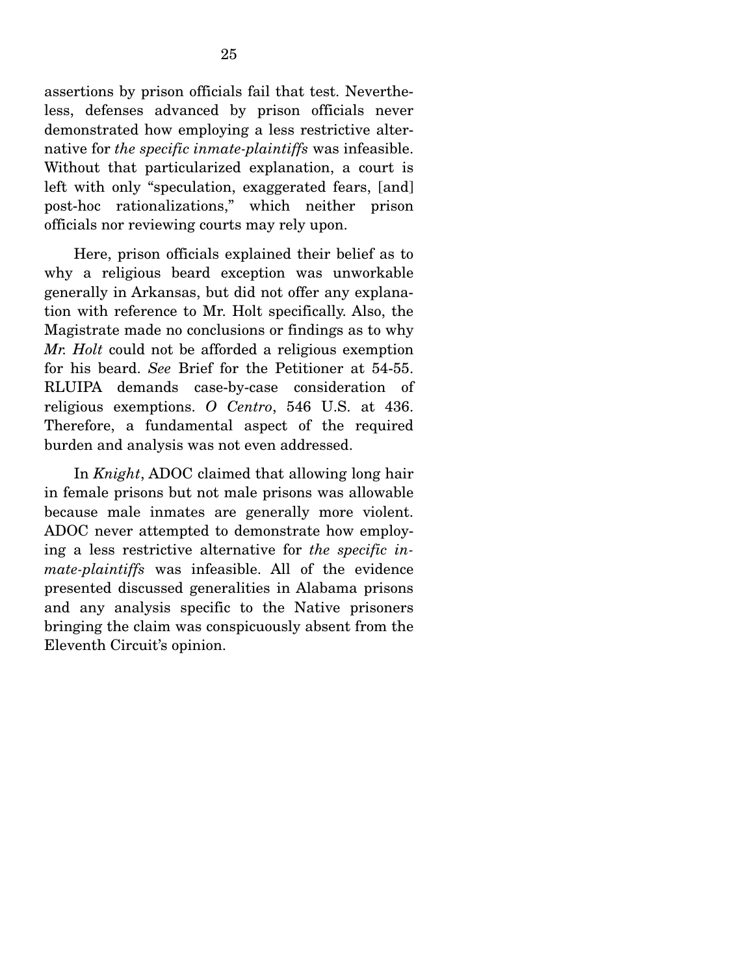assertions by prison officials fail that test. Nevertheless, defenses advanced by prison officials never demonstrated how employing a less restrictive alternative for *the specific inmate-plaintiffs* was infeasible. Without that particularized explanation, a court is left with only "speculation, exaggerated fears, [and] post-hoc rationalizations," which neither prison officials nor reviewing courts may rely upon.

 Here, prison officials explained their belief as to why a religious beard exception was unworkable generally in Arkansas, but did not offer any explanation with reference to Mr. Holt specifically. Also, the Magistrate made no conclusions or findings as to why *Mr. Holt* could not be afforded a religious exemption for his beard. *See* Brief for the Petitioner at 54-55. RLUIPA demands case-by-case consideration of religious exemptions. *O Centro*, 546 U.S. at 436. Therefore, a fundamental aspect of the required burden and analysis was not even addressed.

 In *Knight*, ADOC claimed that allowing long hair in female prisons but not male prisons was allowable because male inmates are generally more violent. ADOC never attempted to demonstrate how employing a less restrictive alternative for *the specific inmate-plaintiffs* was infeasible. All of the evidence presented discussed generalities in Alabama prisons and any analysis specific to the Native prisoners bringing the claim was conspicuously absent from the Eleventh Circuit's opinion.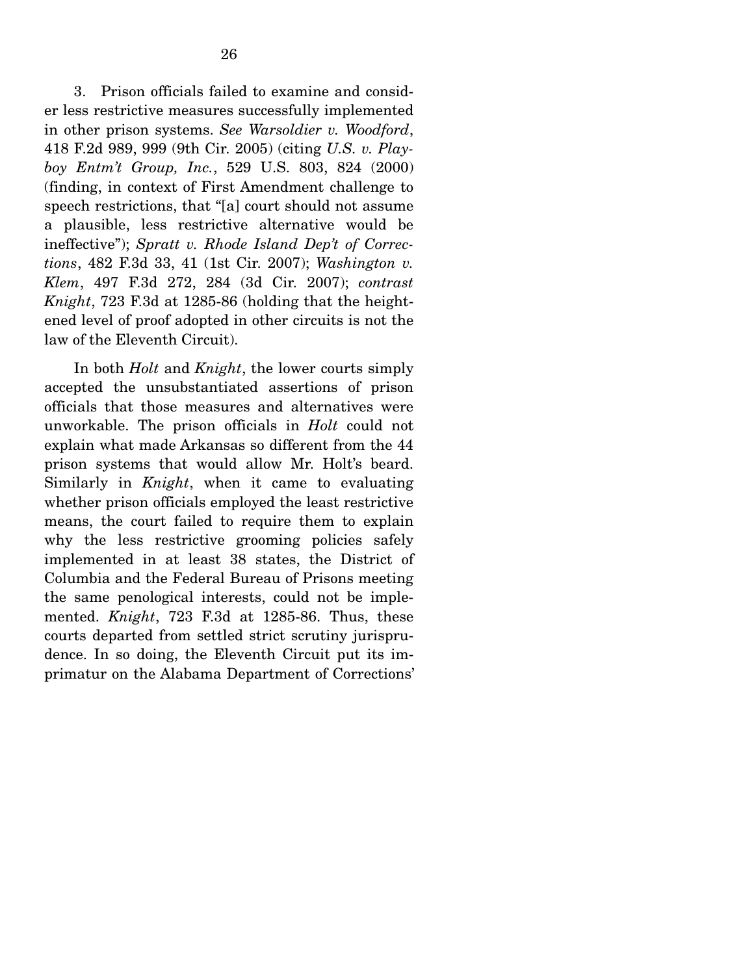3. Prison officials failed to examine and consider less restrictive measures successfully implemented in other prison systems. *See Warsoldier v. Woodford*, 418 F.2d 989, 999 (9th Cir. 2005) (citing *U.S. v. Playboy Entm't Group, Inc.*, 529 U.S. 803, 824 (2000) (finding, in context of First Amendment challenge to speech restrictions, that "[a] court should not assume a plausible, less restrictive alternative would be ineffective"); *Spratt v. Rhode Island Dep't of Corrections*, 482 F.3d 33, 41 (1st Cir. 2007); *Washington v. Klem*, 497 F.3d 272, 284 (3d Cir. 2007); *contrast Knight*, 723 F.3d at 1285-86 (holding that the heightened level of proof adopted in other circuits is not the law of the Eleventh Circuit).

 In both *Holt* and *Knight*, the lower courts simply accepted the unsubstantiated assertions of prison officials that those measures and alternatives were unworkable. The prison officials in *Holt* could not explain what made Arkansas so different from the 44 prison systems that would allow Mr. Holt's beard. Similarly in *Knight*, when it came to evaluating whether prison officials employed the least restrictive means, the court failed to require them to explain why the less restrictive grooming policies safely implemented in at least 38 states, the District of Columbia and the Federal Bureau of Prisons meeting the same penological interests, could not be implemented. *Knight*, 723 F.3d at 1285-86. Thus, these courts departed from settled strict scrutiny jurisprudence. In so doing, the Eleventh Circuit put its imprimatur on the Alabama Department of Corrections'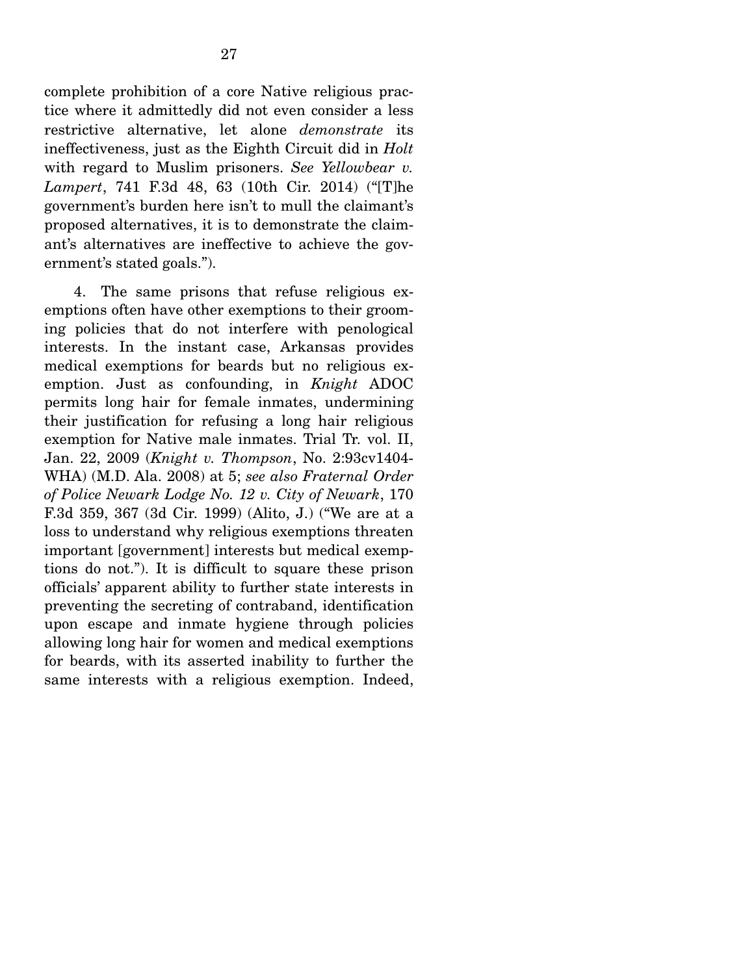complete prohibition of a core Native religious practice where it admittedly did not even consider a less restrictive alternative, let alone *demonstrate* its ineffectiveness, just as the Eighth Circuit did in *Holt* with regard to Muslim prisoners. *See Yellowbear v. Lampert*, 741 F.3d 48, 63 (10th Cir. 2014) ("[T]he government's burden here isn't to mull the claimant's proposed alternatives, it is to demonstrate the claimant's alternatives are ineffective to achieve the government's stated goals.").

 4. The same prisons that refuse religious exemptions often have other exemptions to their grooming policies that do not interfere with penological interests. In the instant case, Arkansas provides medical exemptions for beards but no religious exemption. Just as confounding, in *Knight* ADOC permits long hair for female inmates, undermining their justification for refusing a long hair religious exemption for Native male inmates. Trial Tr. vol. II, Jan. 22, 2009 (*Knight v. Thompson*, No. 2:93cv1404- WHA) (M.D. Ala. 2008) at 5; *see also Fraternal Order of Police Newark Lodge No. 12 v. City of Newark*, 170 F.3d 359, 367 (3d Cir. 1999) (Alito, J.) ("We are at a loss to understand why religious exemptions threaten important [government] interests but medical exemptions do not."). It is difficult to square these prison officials' apparent ability to further state interests in preventing the secreting of contraband, identification upon escape and inmate hygiene through policies allowing long hair for women and medical exemptions for beards, with its asserted inability to further the same interests with a religious exemption. Indeed,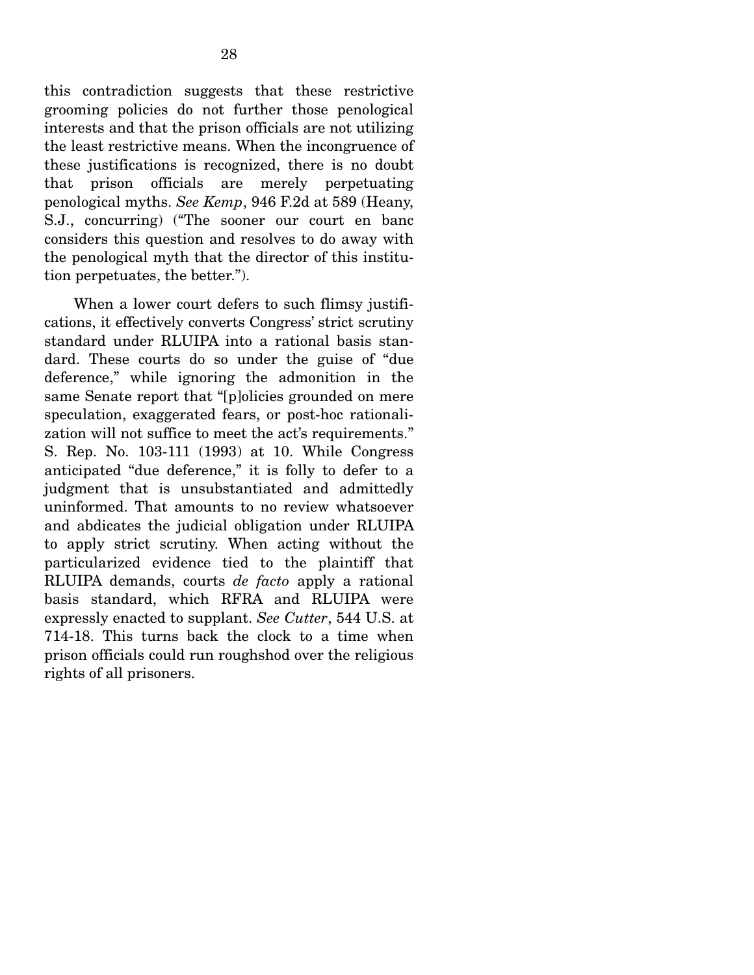this contradiction suggests that these restrictive grooming policies do not further those penological interests and that the prison officials are not utilizing the least restrictive means. When the incongruence of these justifications is recognized, there is no doubt that prison officials are merely perpetuating penological myths. *See Kemp*, 946 F.2d at 589 (Heany, S.J., concurring) ("The sooner our court en banc considers this question and resolves to do away with the penological myth that the director of this institution perpetuates, the better.").

 When a lower court defers to such flimsy justifications, it effectively converts Congress' strict scrutiny standard under RLUIPA into a rational basis standard. These courts do so under the guise of "due deference," while ignoring the admonition in the same Senate report that "[p]olicies grounded on mere speculation, exaggerated fears, or post-hoc rationalization will not suffice to meet the act's requirements." S. Rep. No. 103-111 (1993) at 10. While Congress anticipated "due deference," it is folly to defer to a judgment that is unsubstantiated and admittedly uninformed. That amounts to no review whatsoever and abdicates the judicial obligation under RLUIPA to apply strict scrutiny. When acting without the particularized evidence tied to the plaintiff that RLUIPA demands, courts *de facto* apply a rational basis standard, which RFRA and RLUIPA were expressly enacted to supplant. *See Cutter*, 544 U.S. at 714-18. This turns back the clock to a time when prison officials could run roughshod over the religious rights of all prisoners.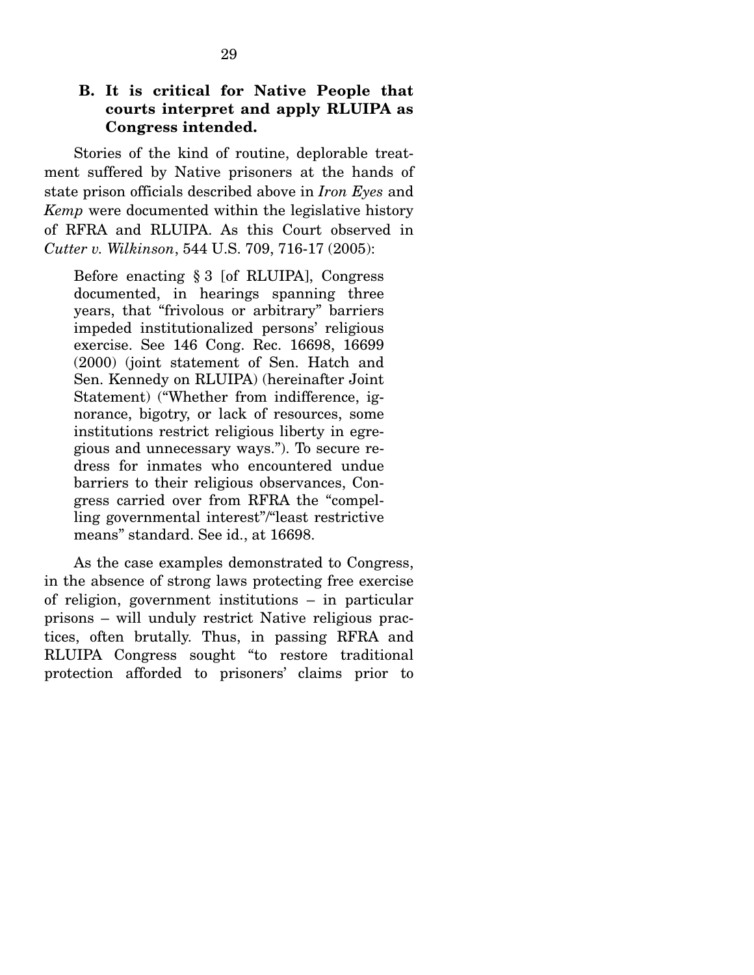#### **B. It is critical for Native People that courts interpret and apply RLUIPA as Congress intended.**

Stories of the kind of routine, deplorable treatment suffered by Native prisoners at the hands of state prison officials described above in *Iron Eyes* and *Kemp* were documented within the legislative history of RFRA and RLUIPA. As this Court observed in *Cutter v. Wilkinson*, 544 U.S. 709, 716-17 (2005):

Before enacting § 3 [of RLUIPA], Congress documented, in hearings spanning three years, that "frivolous or arbitrary" barriers impeded institutionalized persons' religious exercise. See 146 Cong. Rec. 16698, 16699 (2000) (joint statement of Sen. Hatch and Sen. Kennedy on RLUIPA) (hereinafter Joint Statement) ("Whether from indifference, ignorance, bigotry, or lack of resources, some institutions restrict religious liberty in egregious and unnecessary ways."). To secure redress for inmates who encountered undue barriers to their religious observances, Congress carried over from RFRA the "compelling governmental interest"/"least restrictive means" standard. See id., at 16698.

 As the case examples demonstrated to Congress, in the absence of strong laws protecting free exercise of religion, government institutions – in particular prisons – will unduly restrict Native religious practices, often brutally. Thus, in passing RFRA and RLUIPA Congress sought "to restore traditional protection afforded to prisoners' claims prior to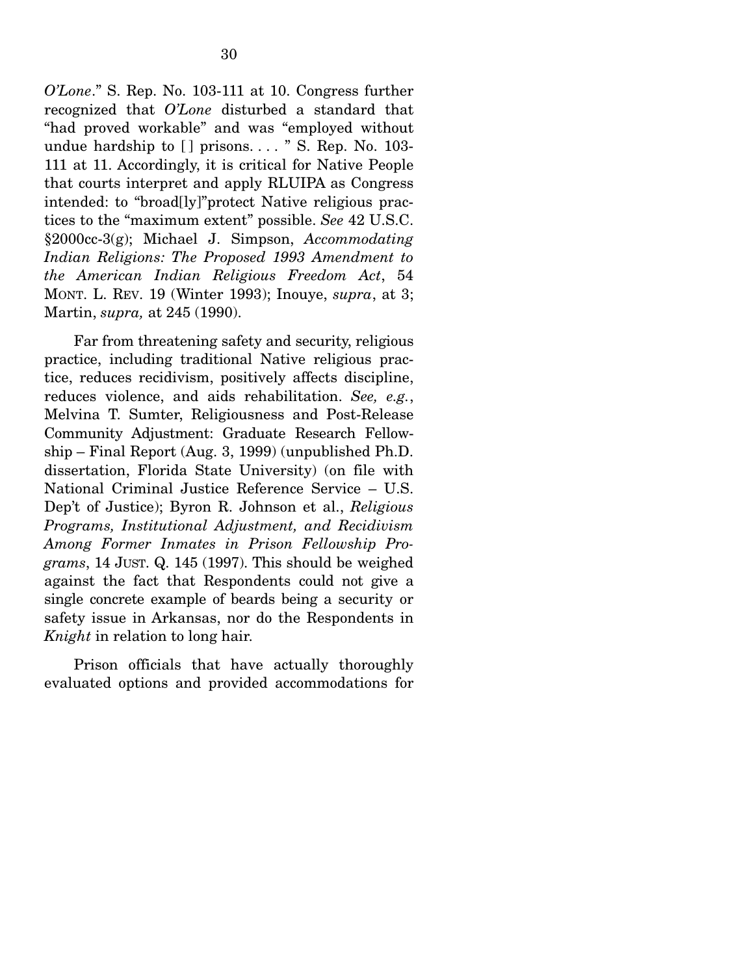*O'Lone*." S. Rep. No. 103-111 at 10. Congress further recognized that *O'Lone* disturbed a standard that "had proved workable" and was "employed without undue hardship to  $[]$  prisons. . . . " S. Rep. No. 103-111 at 11. Accordingly, it is critical for Native People that courts interpret and apply RLUIPA as Congress intended: to "broad[ly]"protect Native religious practices to the "maximum extent" possible. *See* 42 U.S.C. §2000cc-3(g); Michael J. Simpson, *Accommodating Indian Religions: The Proposed 1993 Amendment to the American Indian Religious Freedom Act*, 54 MONT. L. REV. 19 (Winter 1993); Inouye, *supra*, at 3; Martin, *supra,* at 245 (1990).

 Far from threatening safety and security, religious practice, including traditional Native religious practice, reduces recidivism, positively affects discipline, reduces violence, and aids rehabilitation. *See, e.g.*, Melvina T. Sumter, Religiousness and Post-Release Community Adjustment: Graduate Research Fellowship – Final Report (Aug. 3, 1999) (unpublished Ph.D. dissertation, Florida State University) (on file with National Criminal Justice Reference Service – U.S. Dep't of Justice); Byron R. Johnson et al., *Religious Programs, Institutional Adjustment, and Recidivism Among Former Inmates in Prison Fellowship Programs*, 14 JUST. Q. 145 (1997). This should be weighed against the fact that Respondents could not give a single concrete example of beards being a security or safety issue in Arkansas, nor do the Respondents in *Knight* in relation to long hair.

 Prison officials that have actually thoroughly evaluated options and provided accommodations for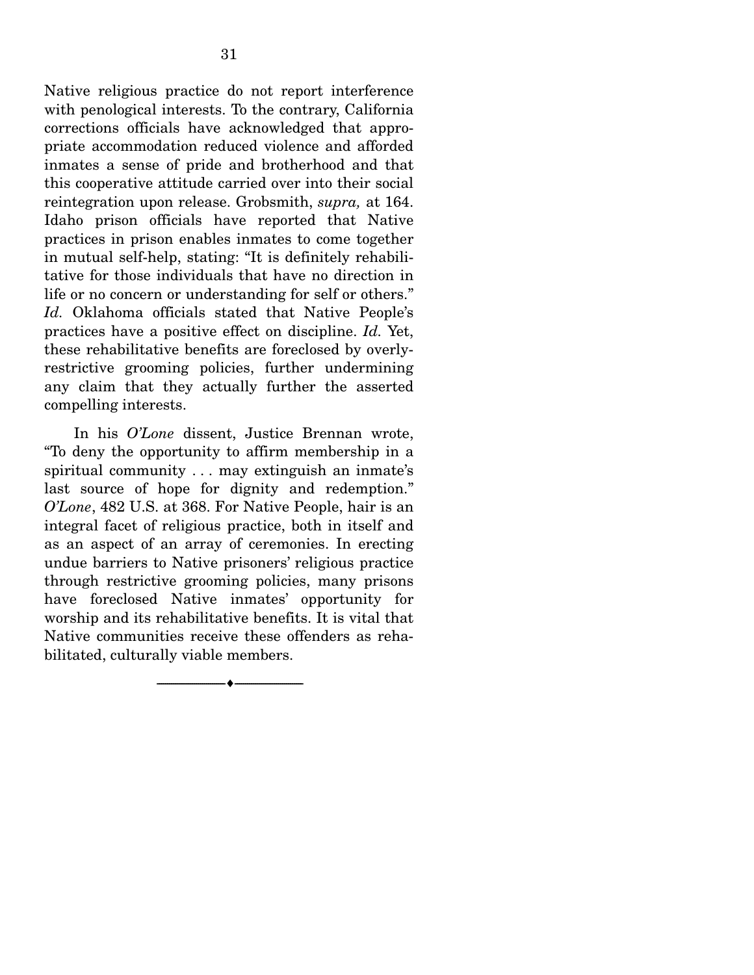Native religious practice do not report interference with penological interests. To the contrary, California corrections officials have acknowledged that appropriate accommodation reduced violence and afforded inmates a sense of pride and brotherhood and that this cooperative attitude carried over into their social reintegration upon release. Grobsmith, *supra,* at 164. Idaho prison officials have reported that Native practices in prison enables inmates to come together in mutual self-help, stating: "It is definitely rehabilitative for those individuals that have no direction in life or no concern or understanding for self or others." *Id.* Oklahoma officials stated that Native People's practices have a positive effect on discipline. *Id.* Yet, these rehabilitative benefits are foreclosed by overlyrestrictive grooming policies, further undermining any claim that they actually further the asserted compelling interests.

 In his *O'Lone* dissent, Justice Brennan wrote, "To deny the opportunity to affirm membership in a spiritual community . . . may extinguish an inmate's last source of hope for dignity and redemption." *O'Lone*, 482 U.S. at 368. For Native People, hair is an integral facet of religious practice, both in itself and as an aspect of an array of ceremonies. In erecting undue barriers to Native prisoners' religious practice through restrictive grooming policies, many prisons have foreclosed Native inmates' opportunity for worship and its rehabilitative benefits. It is vital that Native communities receive these offenders as rehabilitated, culturally viable members.

--------------------------------- ---------------------------------